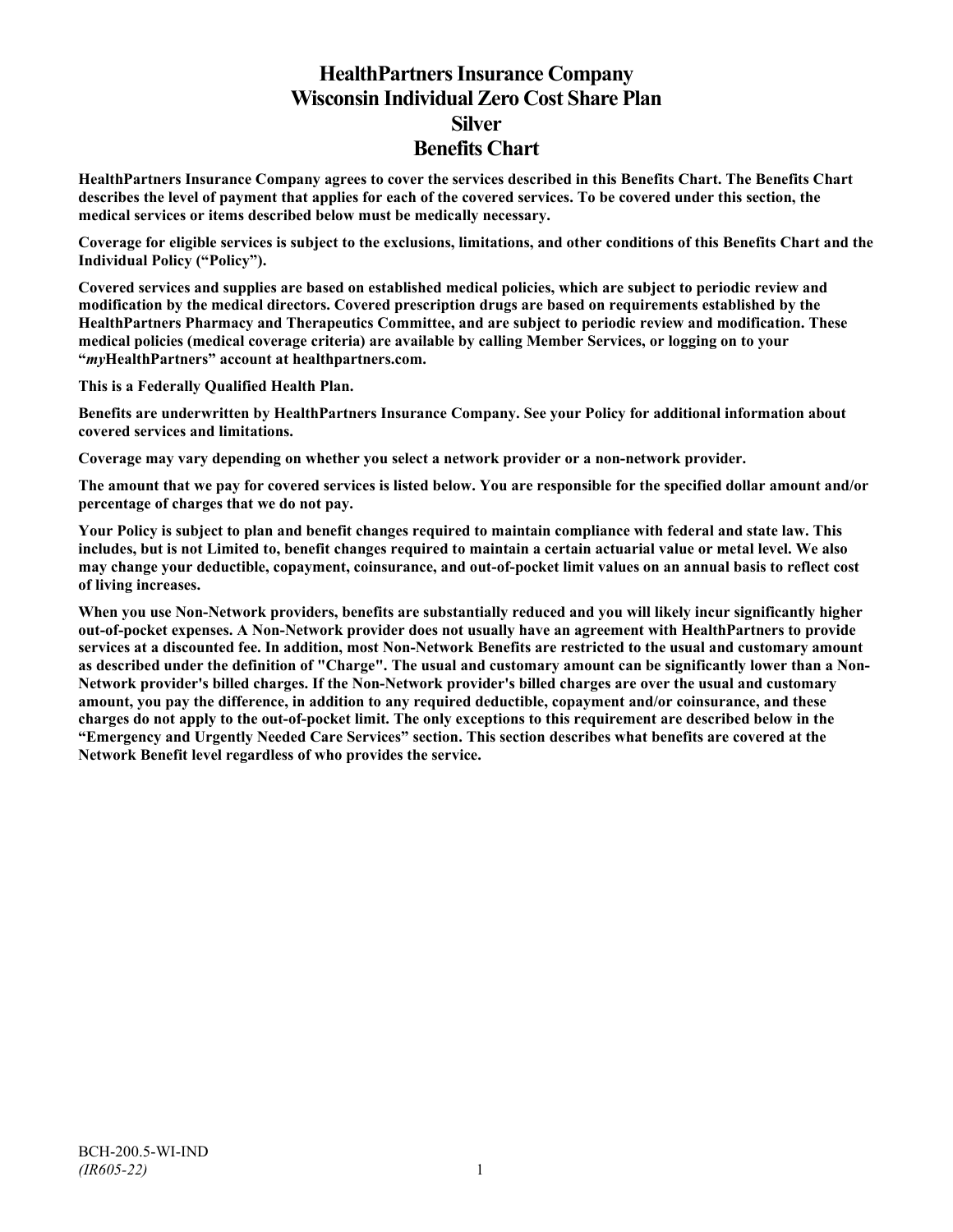# **HealthPartners Insurance Company Wisconsin Individual Zero Cost Share Plan Silver Benefits Chart**

**HealthPartners Insurance Company agrees to cover the services described in this Benefits Chart. The Benefits Chart describes the level of payment that applies for each of the covered services. To be covered under this section, the medical services or items described below must be medically necessary.**

**Coverage for eligible services is subject to the exclusions, limitations, and other conditions of this Benefits Chart and the Individual Policy ("Policy").**

**Covered services and supplies are based on established medical policies, which are subject to periodic review and modification by the medical directors. Covered prescription drugs are based on requirements established by the HealthPartners Pharmacy and Therapeutics Committee, and are subject to periodic review and modification. These medical policies (medical coverage criteria) are available by calling Member Services, or logging on to your "***my***HealthPartners" account at [healthpartners.com.](http://www.healthpartners.com/)**

**This is a Federally Qualified Health Plan.**

**Benefits are underwritten by HealthPartners Insurance Company. See your Policy for additional information about covered services and limitations.**

**Coverage may vary depending on whether you select a network provider or a non-network provider.**

**The amount that we pay for covered services is listed below. You are responsible for the specified dollar amount and/or percentage of charges that we do not pay.**

**Your Policy is subject to plan and benefit changes required to maintain compliance with federal and state law. This includes, but is not Limited to, benefit changes required to maintain a certain actuarial value or metal level. We also may change your deductible, copayment, coinsurance, and out-of-pocket limit values on an annual basis to reflect cost of living increases.**

**When you use Non-Network providers, benefits are substantially reduced and you will likely incur significantly higher out-of-pocket expenses. A Non-Network provider does not usually have an agreement with HealthPartners to provide services at a discounted fee. In addition, most Non-Network Benefits are restricted to the usual and customary amount as described under the definition of "Charge". The usual and customary amount can be significantly lower than a Non-Network provider's billed charges. If the Non-Network provider's billed charges are over the usual and customary amount, you pay the difference, in addition to any required deductible, copayment and/or coinsurance, and these charges do not apply to the out-of-pocket limit. The only exceptions to this requirement are described below in the "Emergency and Urgently Needed Care Services" section. This section describes what benefits are covered at the Network Benefit level regardless of who provides the service.**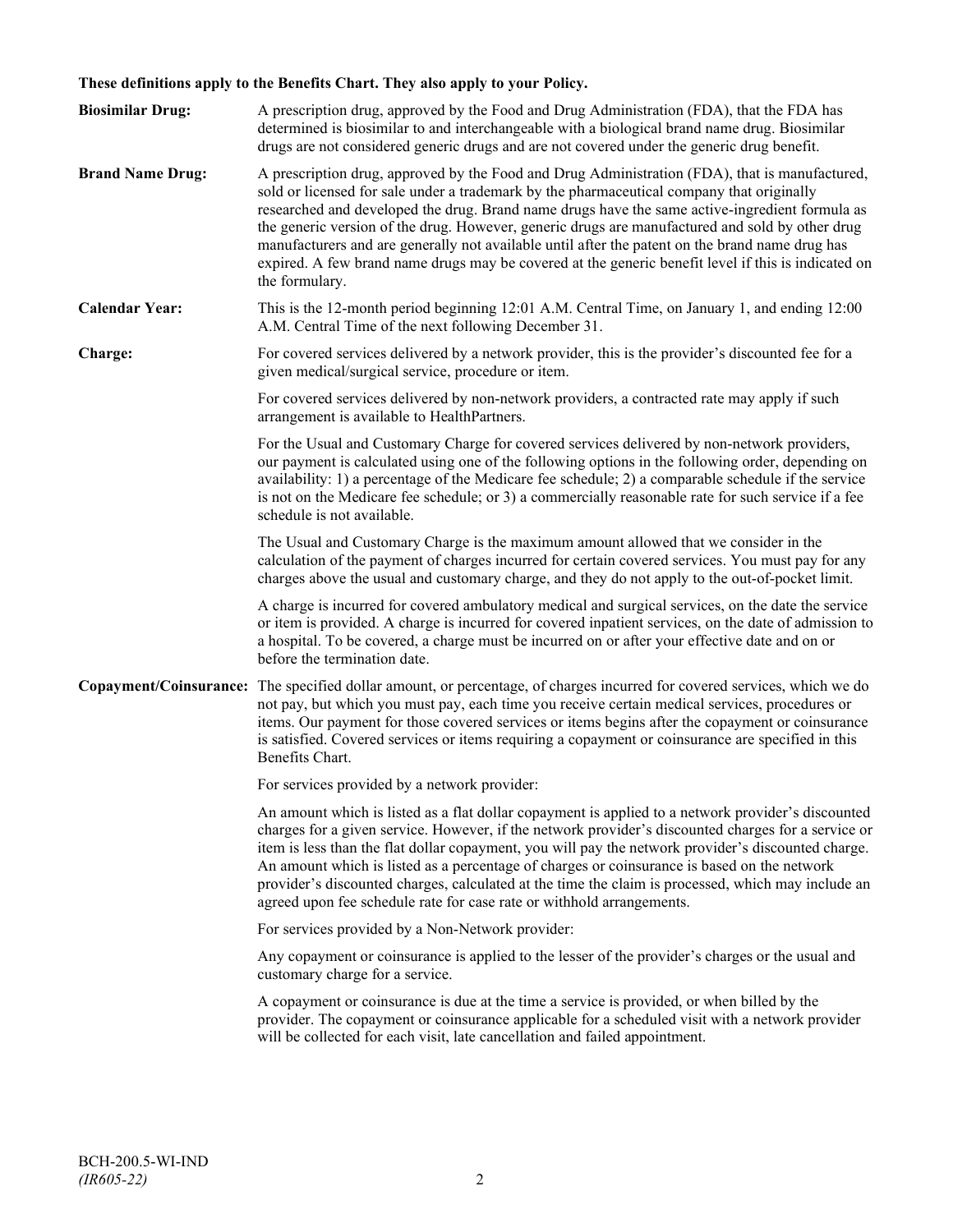# **These definitions apply to the Benefits Chart. They also apply to your Policy.**

| <b>Biosimilar Drug:</b> | A prescription drug, approved by the Food and Drug Administration (FDA), that the FDA has<br>determined is biosimilar to and interchangeable with a biological brand name drug. Biosimilar<br>drugs are not considered generic drugs and are not covered under the generic drug benefit.                                                                                                                                                                                                                                                                                                                                     |
|-------------------------|------------------------------------------------------------------------------------------------------------------------------------------------------------------------------------------------------------------------------------------------------------------------------------------------------------------------------------------------------------------------------------------------------------------------------------------------------------------------------------------------------------------------------------------------------------------------------------------------------------------------------|
| <b>Brand Name Drug:</b> | A prescription drug, approved by the Food and Drug Administration (FDA), that is manufactured,<br>sold or licensed for sale under a trademark by the pharmaceutical company that originally<br>researched and developed the drug. Brand name drugs have the same active-ingredient formula as<br>the generic version of the drug. However, generic drugs are manufactured and sold by other drug<br>manufacturers and are generally not available until after the patent on the brand name drug has<br>expired. A few brand name drugs may be covered at the generic benefit level if this is indicated on<br>the formulary. |
| <b>Calendar Year:</b>   | This is the 12-month period beginning 12:01 A.M. Central Time, on January 1, and ending 12:00<br>A.M. Central Time of the next following December 31.                                                                                                                                                                                                                                                                                                                                                                                                                                                                        |
| Charge:                 | For covered services delivered by a network provider, this is the provider's discounted fee for a<br>given medical/surgical service, procedure or item.                                                                                                                                                                                                                                                                                                                                                                                                                                                                      |
|                         | For covered services delivered by non-network providers, a contracted rate may apply if such<br>arrangement is available to HealthPartners.                                                                                                                                                                                                                                                                                                                                                                                                                                                                                  |
|                         | For the Usual and Customary Charge for covered services delivered by non-network providers,<br>our payment is calculated using one of the following options in the following order, depending on<br>availability: 1) a percentage of the Medicare fee schedule; 2) a comparable schedule if the service<br>is not on the Medicare fee schedule; or 3) a commercially reasonable rate for such service if a fee<br>schedule is not available.                                                                                                                                                                                 |
|                         | The Usual and Customary Charge is the maximum amount allowed that we consider in the<br>calculation of the payment of charges incurred for certain covered services. You must pay for any<br>charges above the usual and customary charge, and they do not apply to the out-of-pocket limit.                                                                                                                                                                                                                                                                                                                                 |
|                         | A charge is incurred for covered ambulatory medical and surgical services, on the date the service<br>or item is provided. A charge is incurred for covered inpatient services, on the date of admission to<br>a hospital. To be covered, a charge must be incurred on or after your effective date and on or<br>before the termination date.                                                                                                                                                                                                                                                                                |
|                         | Copayment/Coinsurance: The specified dollar amount, or percentage, of charges incurred for covered services, which we do<br>not pay, but which you must pay, each time you receive certain medical services, procedures or<br>items. Our payment for those covered services or items begins after the copayment or coinsurance<br>is satisfied. Covered services or items requiring a copayment or coinsurance are specified in this<br>Benefits Chart.                                                                                                                                                                      |
|                         | For services provided by a network provider:                                                                                                                                                                                                                                                                                                                                                                                                                                                                                                                                                                                 |
|                         | An amount which is listed as a flat dollar copayment is applied to a network provider's discounted<br>charges for a given service. However, if the network provider's discounted charges for a service or<br>item is less than the flat dollar copayment, you will pay the network provider's discounted charge.<br>An amount which is listed as a percentage of charges or coinsurance is based on the network<br>provider's discounted charges, calculated at the time the claim is processed, which may include an<br>agreed upon fee schedule rate for case rate or withhold arrangements.                               |
|                         | For services provided by a Non-Network provider:                                                                                                                                                                                                                                                                                                                                                                                                                                                                                                                                                                             |
|                         | Any copayment or coinsurance is applied to the lesser of the provider's charges or the usual and<br>customary charge for a service.                                                                                                                                                                                                                                                                                                                                                                                                                                                                                          |
|                         | A copayment or coinsurance is due at the time a service is provided, or when billed by the<br>provider. The copayment or coinsurance applicable for a scheduled visit with a network provider<br>will be collected for each visit, late cancellation and failed appointment.                                                                                                                                                                                                                                                                                                                                                 |
|                         |                                                                                                                                                                                                                                                                                                                                                                                                                                                                                                                                                                                                                              |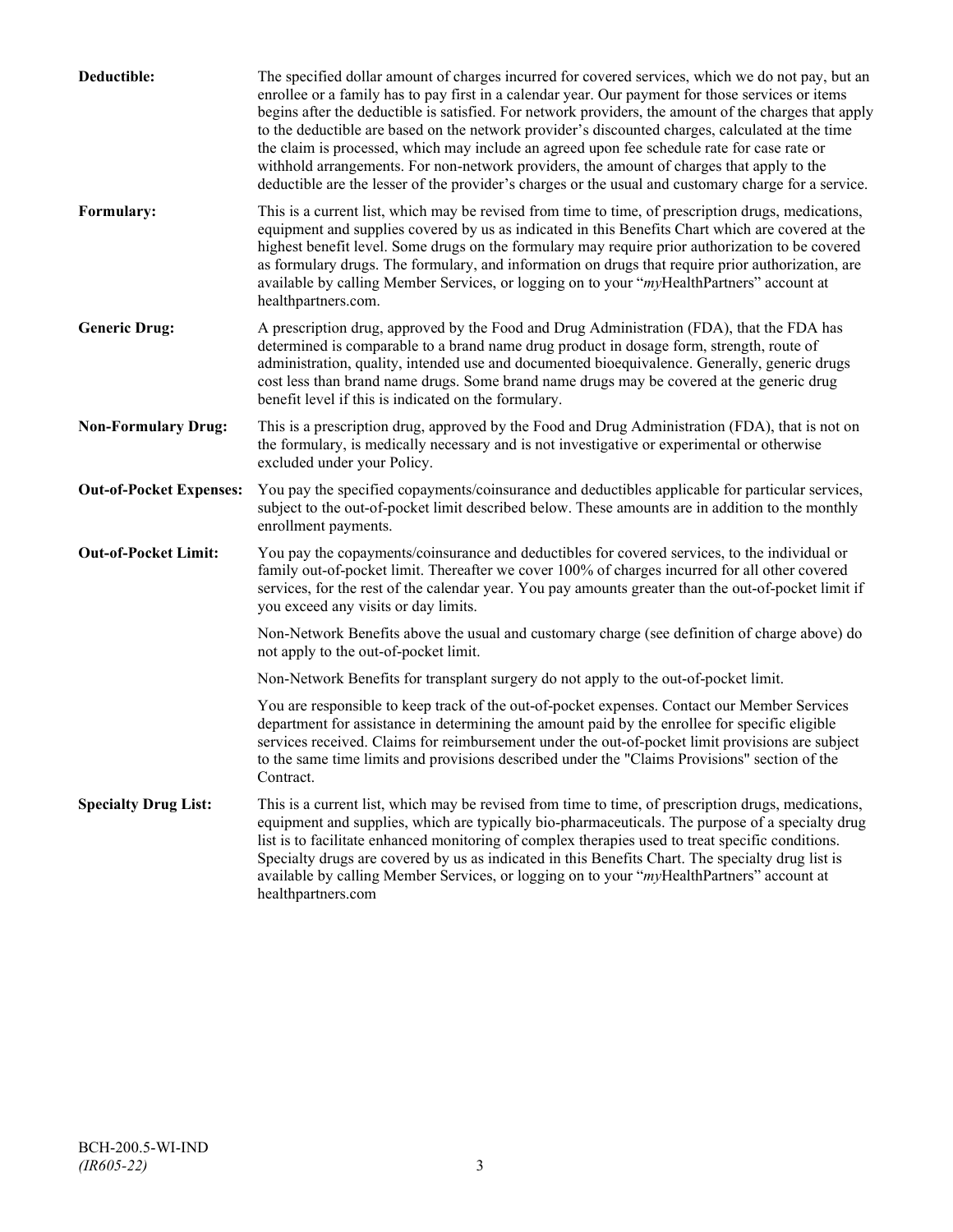| Deductible:                    | The specified dollar amount of charges incurred for covered services, which we do not pay, but an<br>enrollee or a family has to pay first in a calendar year. Our payment for those services or items<br>begins after the deductible is satisfied. For network providers, the amount of the charges that apply<br>to the deductible are based on the network provider's discounted charges, calculated at the time<br>the claim is processed, which may include an agreed upon fee schedule rate for case rate or<br>withhold arrangements. For non-network providers, the amount of charges that apply to the<br>deductible are the lesser of the provider's charges or the usual and customary charge for a service. |
|--------------------------------|-------------------------------------------------------------------------------------------------------------------------------------------------------------------------------------------------------------------------------------------------------------------------------------------------------------------------------------------------------------------------------------------------------------------------------------------------------------------------------------------------------------------------------------------------------------------------------------------------------------------------------------------------------------------------------------------------------------------------|
| Formulary:                     | This is a current list, which may be revised from time to time, of prescription drugs, medications,<br>equipment and supplies covered by us as indicated in this Benefits Chart which are covered at the<br>highest benefit level. Some drugs on the formulary may require prior authorization to be covered<br>as formulary drugs. The formulary, and information on drugs that require prior authorization, are<br>available by calling Member Services, or logging on to your "myHealthPartners" account at<br>healthpartners.com.                                                                                                                                                                                   |
| <b>Generic Drug:</b>           | A prescription drug, approved by the Food and Drug Administration (FDA), that the FDA has<br>determined is comparable to a brand name drug product in dosage form, strength, route of<br>administration, quality, intended use and documented bioequivalence. Generally, generic drugs<br>cost less than brand name drugs. Some brand name drugs may be covered at the generic drug<br>benefit level if this is indicated on the formulary.                                                                                                                                                                                                                                                                             |
| <b>Non-Formulary Drug:</b>     | This is a prescription drug, approved by the Food and Drug Administration (FDA), that is not on<br>the formulary, is medically necessary and is not investigative or experimental or otherwise<br>excluded under your Policy.                                                                                                                                                                                                                                                                                                                                                                                                                                                                                           |
| <b>Out-of-Pocket Expenses:</b> | You pay the specified copayments/coinsurance and deductibles applicable for particular services,<br>subject to the out-of-pocket limit described below. These amounts are in addition to the monthly<br>enrollment payments.                                                                                                                                                                                                                                                                                                                                                                                                                                                                                            |
| <b>Out-of-Pocket Limit:</b>    | You pay the copayments/coinsurance and deductibles for covered services, to the individual or<br>family out-of-pocket limit. Thereafter we cover 100% of charges incurred for all other covered<br>services, for the rest of the calendar year. You pay amounts greater than the out-of-pocket limit if<br>you exceed any visits or day limits.                                                                                                                                                                                                                                                                                                                                                                         |
|                                | Non-Network Benefits above the usual and customary charge (see definition of charge above) do<br>not apply to the out-of-pocket limit.                                                                                                                                                                                                                                                                                                                                                                                                                                                                                                                                                                                  |
|                                | Non-Network Benefits for transplant surgery do not apply to the out-of-pocket limit.                                                                                                                                                                                                                                                                                                                                                                                                                                                                                                                                                                                                                                    |
|                                | You are responsible to keep track of the out-of-pocket expenses. Contact our Member Services<br>department for assistance in determining the amount paid by the enrollee for specific eligible<br>services received. Claims for reimbursement under the out-of-pocket limit provisions are subject<br>to the same time limits and provisions described under the "Claims Provisions" section of the<br>Contract.                                                                                                                                                                                                                                                                                                        |
| <b>Specialty Drug List:</b>    | This is a current list, which may be revised from time to time, of prescription drugs, medications,<br>equipment and supplies, which are typically bio-pharmaceuticals. The purpose of a specialty drug<br>list is to facilitate enhanced monitoring of complex therapies used to treat specific conditions.<br>Specialty drugs are covered by us as indicated in this Benefits Chart. The specialty drug list is<br>available by calling Member Services, or logging on to your "myHealthPartners" account at<br>healthpartners.com                                                                                                                                                                                    |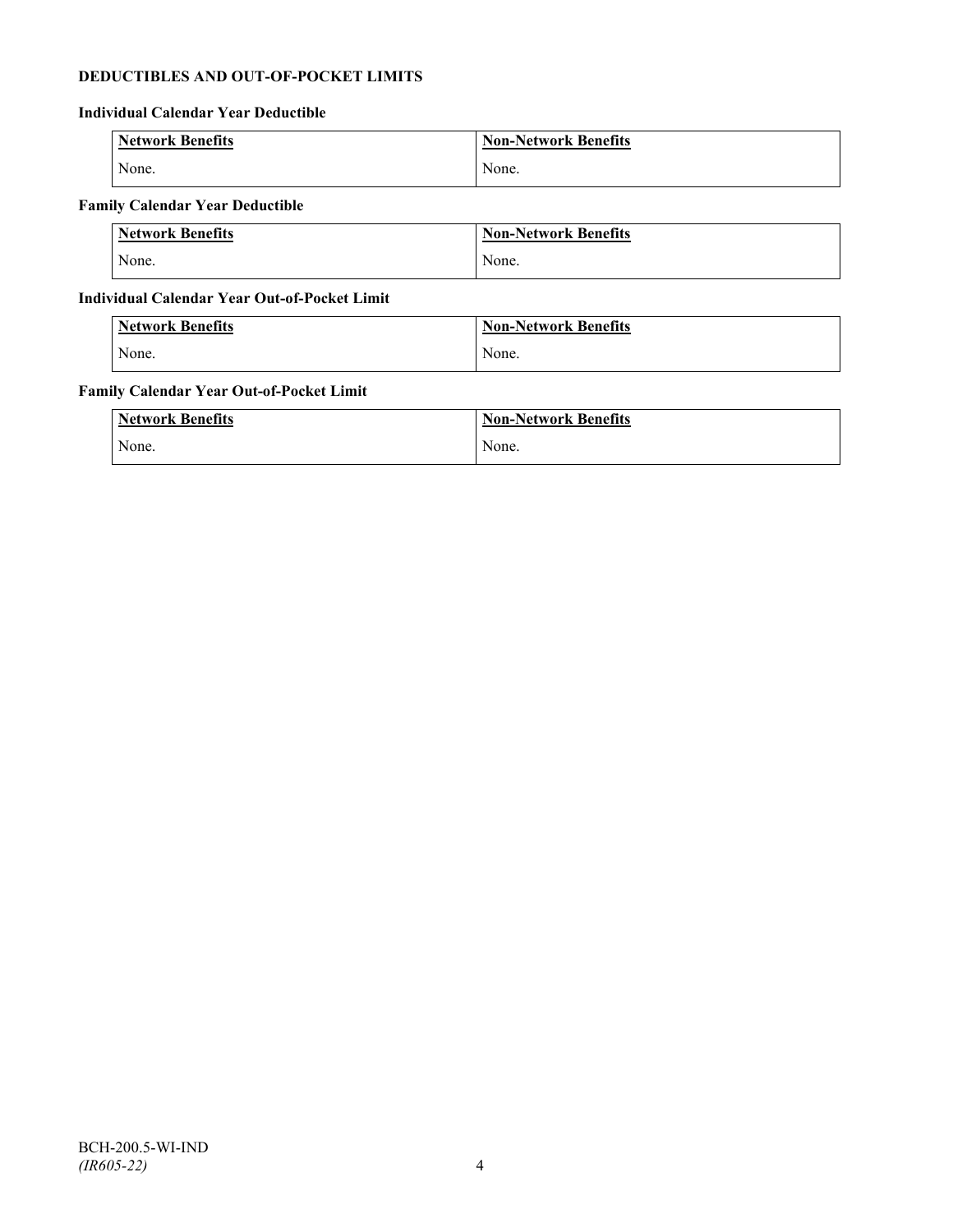# **DEDUCTIBLES AND OUT-OF-POCKET LIMITS**

# **Individual Calendar Year Deductible**

| <b>Network Benefits</b> | <b>Non-Network Benefits</b> |
|-------------------------|-----------------------------|
| None.                   | None.                       |

# **Family Calendar Year Deductible**

| <b>Network Benefits</b> | <b>Non-Network Benefits</b> |
|-------------------------|-----------------------------|
| None.                   | None.                       |

# **Individual Calendar Year Out-of-Pocket Limit**

| Network Benefits | <b>Non-Network Benefits</b> |
|------------------|-----------------------------|
| None.            | None.                       |

# **Family Calendar Year Out-of-Pocket Limit**

| <b>Network Benefits</b> | <b>Non-Network Benefits</b> |
|-------------------------|-----------------------------|
| None.                   | None.                       |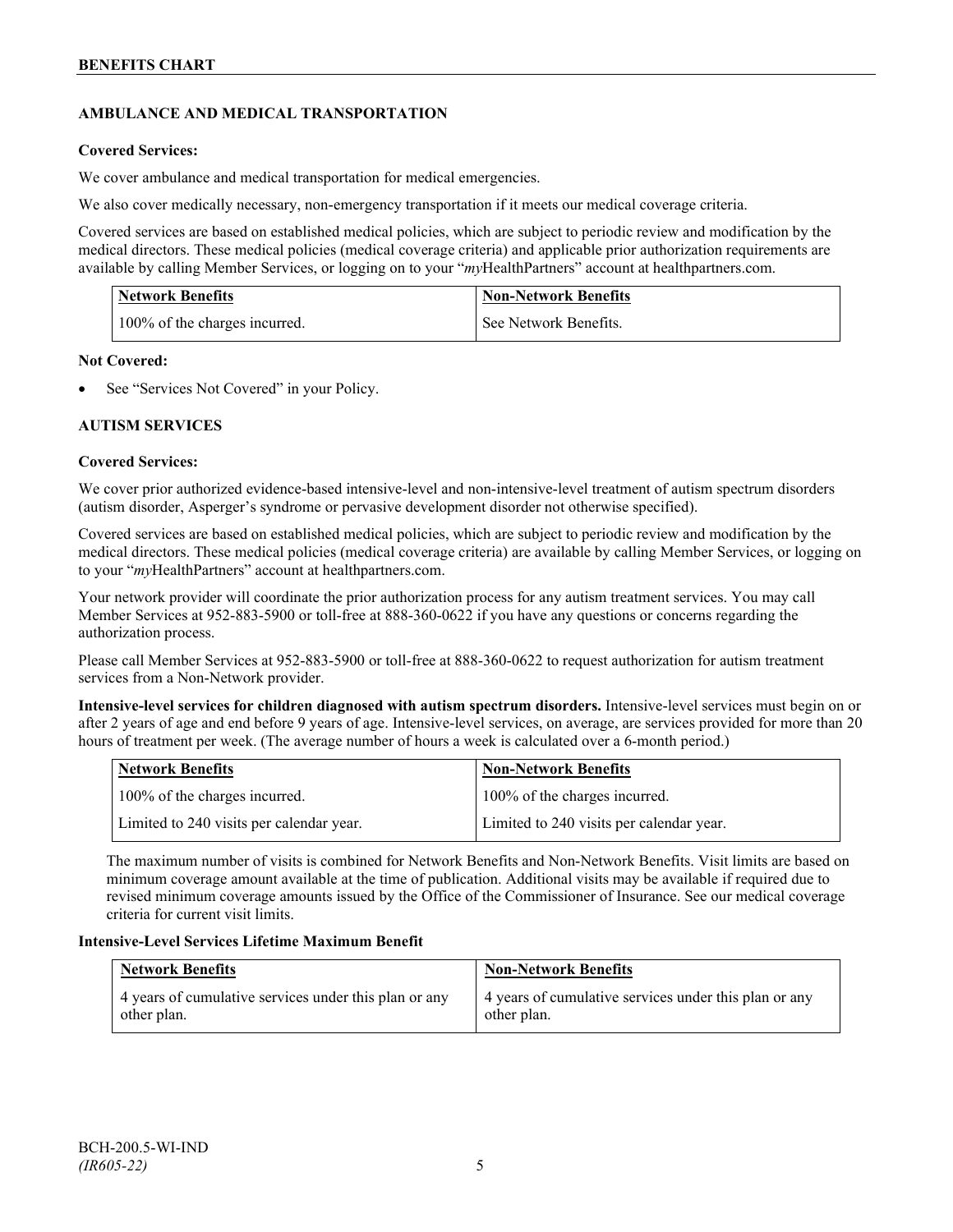# **AMBULANCE AND MEDICAL TRANSPORTATION**

# **Covered Services:**

We cover ambulance and medical transportation for medical emergencies.

We also cover medically necessary, non-emergency transportation if it meets our medical coverage criteria.

Covered services are based on established medical policies, which are subject to periodic review and modification by the medical directors. These medical policies (medical coverage criteria) and applicable prior authorization requirements are available by calling Member Services, or logging on to your "*my*HealthPartners" account a[t healthpartners.com.](http://www.healthpartners.com/)

| <b>Network Benefits</b>       | <b>Non-Network Benefits</b> |
|-------------------------------|-----------------------------|
| 100% of the charges incurred. | See Network Benefits.       |

# **Not Covered:**

See "Services Not Covered" in your Policy.

# **AUTISM SERVICES**

# **Covered Services:**

We cover prior authorized evidence-based intensive-level and non-intensive-level treatment of autism spectrum disorders (autism disorder, Asperger's syndrome or pervasive development disorder not otherwise specified).

Covered services are based on established medical policies, which are subject to periodic review and modification by the medical directors. These medical policies (medical coverage criteria) are available by calling Member Services, or logging on to your "*my*HealthPartners" account at [healthpartners.com.](http://www.healthpartners.com/)

Your network provider will coordinate the prior authorization process for any autism treatment services. You may call Member Services at 952-883-5900 or toll-free at 888-360-0622 if you have any questions or concerns regarding the authorization process.

Please call Member Services at 952-883-5900 or toll-free at 888-360-0622 to request authorization for autism treatment services from a Non-Network provider.

**Intensive-level services for children diagnosed with autism spectrum disorders.** Intensive-level services must begin on or after 2 years of age and end before 9 years of age. Intensive-level services, on average, are services provided for more than 20 hours of treatment per week. (The average number of hours a week is calculated over a 6-month period.)

| Network Benefits                         | <b>Non-Network Benefits</b>              |
|------------------------------------------|------------------------------------------|
| 100% of the charges incurred.            | 100% of the charges incurred.            |
| Limited to 240 visits per calendar year. | Limited to 240 visits per calendar year. |

The maximum number of visits is combined for Network Benefits and Non-Network Benefits. Visit limits are based on minimum coverage amount available at the time of publication. Additional visits may be available if required due to revised minimum coverage amounts issued by the Office of the Commissioner of Insurance. See our medical coverage criteria for current visit limits.

# **Intensive-Level Services Lifetime Maximum Benefit**

| <b>Network Benefits</b>                               | <b>Non-Network Benefits</b>                           |
|-------------------------------------------------------|-------------------------------------------------------|
| 4 years of cumulative services under this plan or any | 4 years of cumulative services under this plan or any |
| other plan.                                           | other plan.                                           |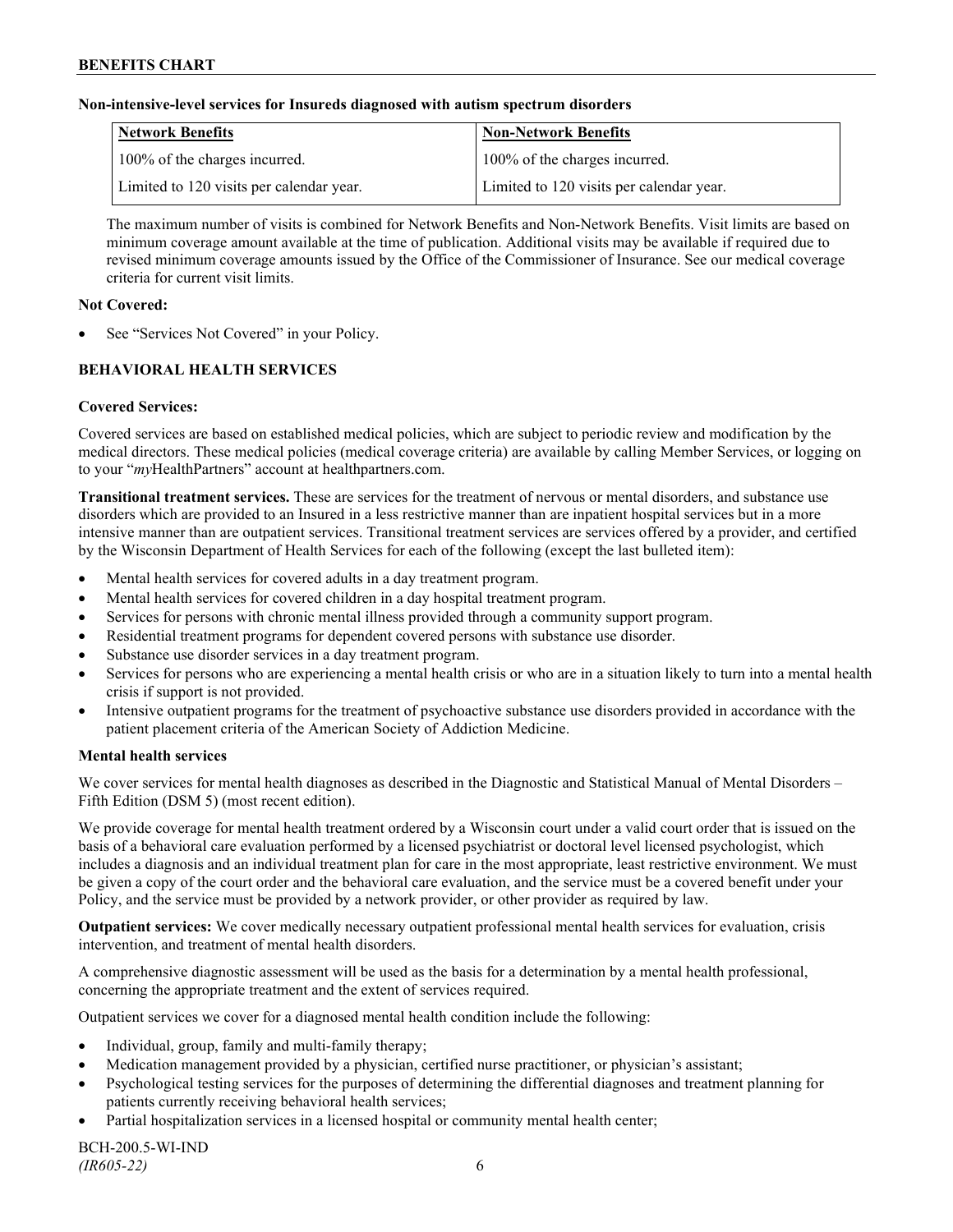### **Non-intensive-level services for Insureds diagnosed with autism spectrum disorders**

| Network Benefits                         | <b>Non-Network Benefits</b>              |
|------------------------------------------|------------------------------------------|
| 100% of the charges incurred.            | 100% of the charges incurred.            |
| Limited to 120 visits per calendar year. | Limited to 120 visits per calendar year. |

The maximum number of visits is combined for Network Benefits and Non-Network Benefits. Visit limits are based on minimum coverage amount available at the time of publication. Additional visits may be available if required due to revised minimum coverage amounts issued by the Office of the Commissioner of Insurance. See our medical coverage criteria for current visit limits.

### **Not Covered:**

See "Services Not Covered" in your Policy.

# **BEHAVIORAL HEALTH SERVICES**

# **Covered Services:**

Covered services are based on established medical policies, which are subject to periodic review and modification by the medical directors. These medical policies (medical coverage criteria) are available by calling Member Services, or logging on to your "*my*HealthPartners" account at [healthpartners.com.](http://www.healthpartners.com/)

**Transitional treatment services.** These are services for the treatment of nervous or mental disorders, and substance use disorders which are provided to an Insured in a less restrictive manner than are inpatient hospital services but in a more intensive manner than are outpatient services. Transitional treatment services are services offered by a provider, and certified by the Wisconsin Department of Health Services for each of the following (except the last bulleted item):

- Mental health services for covered adults in a day treatment program.
- Mental health services for covered children in a day hospital treatment program.
- Services for persons with chronic mental illness provided through a community support program.
- Residential treatment programs for dependent covered persons with substance use disorder.
- Substance use disorder services in a day treatment program.
- Services for persons who are experiencing a mental health crisis or who are in a situation likely to turn into a mental health crisis if support is not provided.
- Intensive outpatient programs for the treatment of psychoactive substance use disorders provided in accordance with the patient placement criteria of the American Society of Addiction Medicine.

# **Mental health services**

We cover services for mental health diagnoses as described in the Diagnostic and Statistical Manual of Mental Disorders – Fifth Edition (DSM 5) (most recent edition).

We provide coverage for mental health treatment ordered by a Wisconsin court under a valid court order that is issued on the basis of a behavioral care evaluation performed by a licensed psychiatrist or doctoral level licensed psychologist, which includes a diagnosis and an individual treatment plan for care in the most appropriate, least restrictive environment. We must be given a copy of the court order and the behavioral care evaluation, and the service must be a covered benefit under your Policy, and the service must be provided by a network provider, or other provider as required by law.

**Outpatient services:** We cover medically necessary outpatient professional mental health services for evaluation, crisis intervention, and treatment of mental health disorders.

A comprehensive diagnostic assessment will be used as the basis for a determination by a mental health professional, concerning the appropriate treatment and the extent of services required.

Outpatient services we cover for a diagnosed mental health condition include the following:

- Individual, group, family and multi-family therapy;
- Medication management provided by a physician, certified nurse practitioner, or physician's assistant;
- Psychological testing services for the purposes of determining the differential diagnoses and treatment planning for patients currently receiving behavioral health services;
- Partial hospitalization services in a licensed hospital or community mental health center;

BCH-200.5-WI-IND *(IR605-22)* 6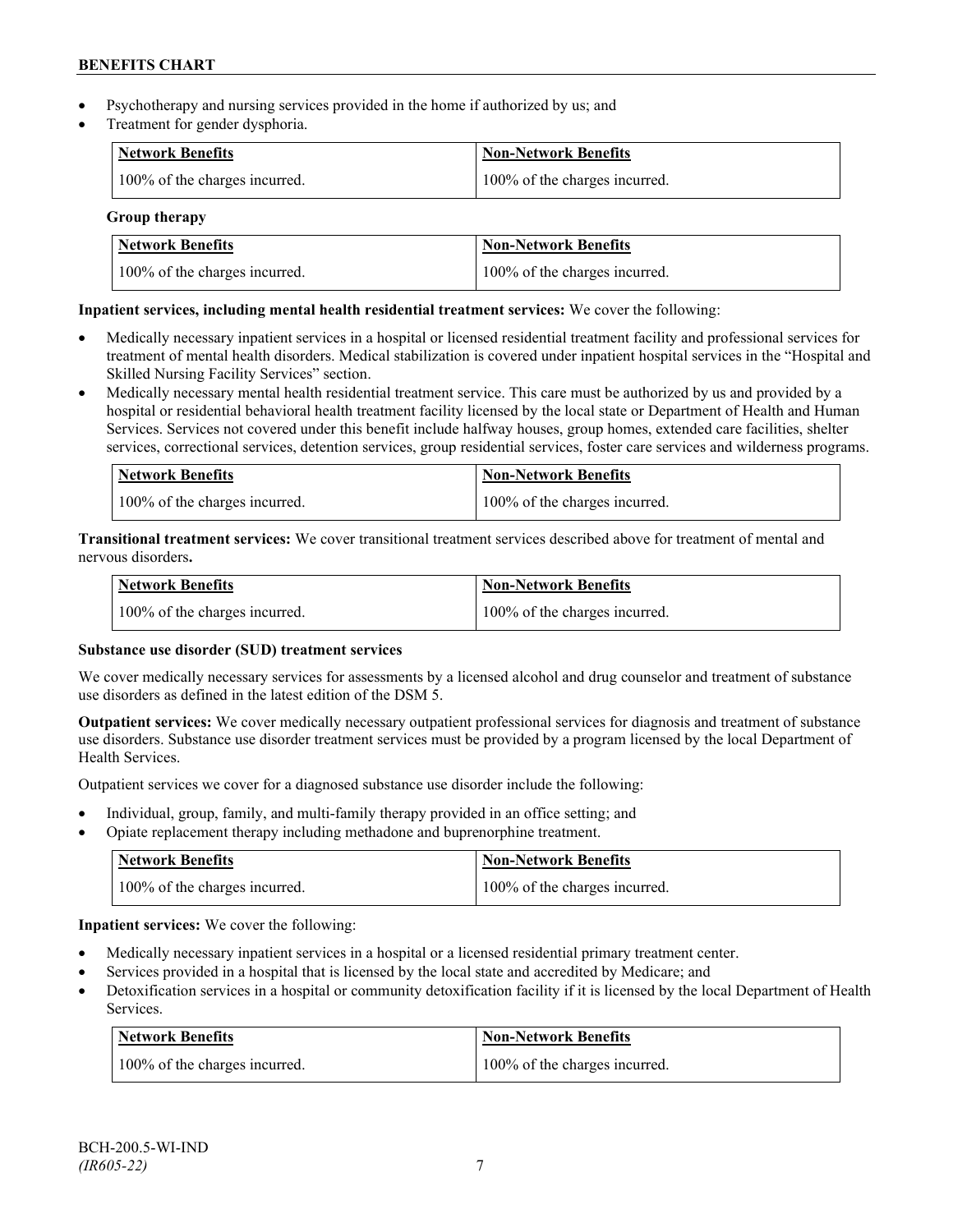- Psychotherapy and nursing services provided in the home if authorized by us; and
- Treatment for gender dysphoria.

| Network Benefits              | <b>Non-Network Benefits</b>   |
|-------------------------------|-------------------------------|
| 100% of the charges incurred. | 100% of the charges incurred. |

# **Group therapy**

| <b>Network Benefits</b>       | <b>Non-Network Benefits</b>   |
|-------------------------------|-------------------------------|
| 100% of the charges incurred. | 100% of the charges incurred. |

# **Inpatient services, including mental health residential treatment services:** We cover the following:

- Medically necessary inpatient services in a hospital or licensed residential treatment facility and professional services for treatment of mental health disorders. Medical stabilization is covered under inpatient hospital services in the "Hospital and Skilled Nursing Facility Services" section.
- Medically necessary mental health residential treatment service. This care must be authorized by us and provided by a hospital or residential behavioral health treatment facility licensed by the local state or Department of Health and Human Services. Services not covered under this benefit include halfway houses, group homes, extended care facilities, shelter services, correctional services, detention services, group residential services, foster care services and wilderness programs.

| Network Benefits              | Non-Network Benefits          |
|-------------------------------|-------------------------------|
| 100% of the charges incurred. | 100% of the charges incurred. |

**Transitional treatment services:** We cover transitional treatment services described above for treatment of mental and nervous disorders**.**

| <b>Network Benefits</b>       | Non-Network Benefits          |
|-------------------------------|-------------------------------|
| 100% of the charges incurred. | 100% of the charges incurred. |

# **Substance use disorder (SUD) treatment services**

We cover medically necessary services for assessments by a licensed alcohol and drug counselor and treatment of substance use disorders as defined in the latest edition of the DSM 5.

**Outpatient services:** We cover medically necessary outpatient professional services for diagnosis and treatment of substance use disorders. Substance use disorder treatment services must be provided by a program licensed by the local Department of Health Services.

Outpatient services we cover for a diagnosed substance use disorder include the following:

- Individual, group, family, and multi-family therapy provided in an office setting; and
- Opiate replacement therapy including methadone and buprenorphine treatment.

| <b>Network Benefits</b>       | <b>Non-Network Benefits</b>   |
|-------------------------------|-------------------------------|
| 100% of the charges incurred. | 100% of the charges incurred. |

**Inpatient services:** We cover the following:

- Medically necessary inpatient services in a hospital or a licensed residential primary treatment center.
- Services provided in a hospital that is licensed by the local state and accredited by Medicare; and
- Detoxification services in a hospital or community detoxification facility if it is licensed by the local Department of Health Services.

| Network Benefits              | <b>Non-Network Benefits</b>   |
|-------------------------------|-------------------------------|
| 100% of the charges incurred. | 100% of the charges incurred. |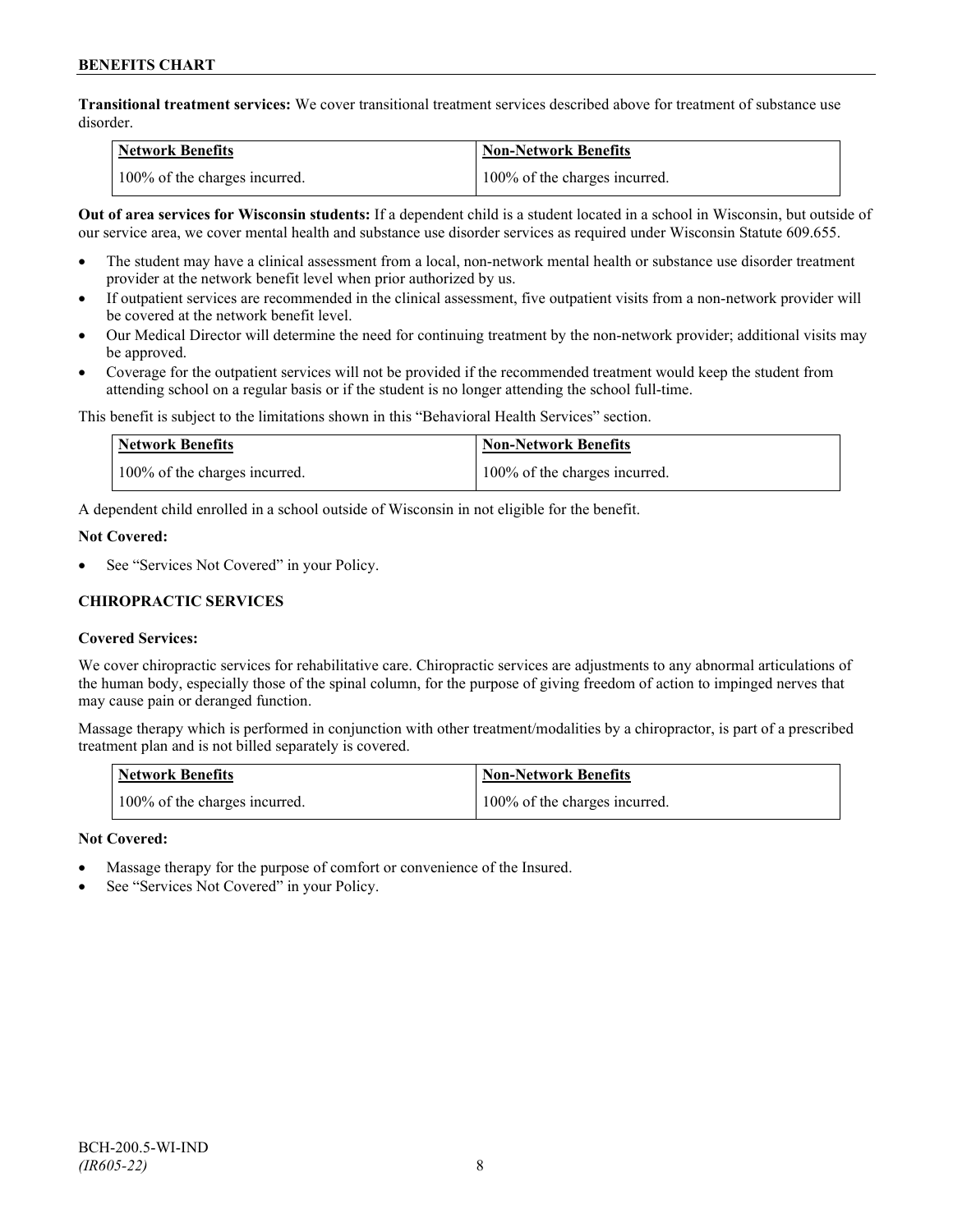**Transitional treatment services:** We cover transitional treatment services described above for treatment of substance use disorder.

| <b>Network Benefits</b>       | <b>Non-Network Benefits</b>   |
|-------------------------------|-------------------------------|
| 100% of the charges incurred. | 100% of the charges incurred. |

**Out of area services for Wisconsin students:** If a dependent child is a student located in a school in Wisconsin, but outside of our service area, we cover mental health and substance use disorder services as required under Wisconsin Statute 609.655.

- The student may have a clinical assessment from a local, non-network mental health or substance use disorder treatment provider at the network benefit level when prior authorized by us.
- If outpatient services are recommended in the clinical assessment, five outpatient visits from a non-network provider will be covered at the network benefit level.
- Our Medical Director will determine the need for continuing treatment by the non-network provider; additional visits may be approved.
- Coverage for the outpatient services will not be provided if the recommended treatment would keep the student from attending school on a regular basis or if the student is no longer attending the school full-time.

This benefit is subject to the limitations shown in this "Behavioral Health Services" section.

| Network Benefits              | <b>Non-Network Benefits</b>   |
|-------------------------------|-------------------------------|
| 100% of the charges incurred. | 100% of the charges incurred. |

A dependent child enrolled in a school outside of Wisconsin in not eligible for the benefit.

#### **Not Covered:**

See "Services Not Covered" in your Policy.

# **CHIROPRACTIC SERVICES**

# **Covered Services:**

We cover chiropractic services for rehabilitative care. Chiropractic services are adjustments to any abnormal articulations of the human body, especially those of the spinal column, for the purpose of giving freedom of action to impinged nerves that may cause pain or deranged function.

Massage therapy which is performed in conjunction with other treatment/modalities by a chiropractor, is part of a prescribed treatment plan and is not billed separately is covered.

| <b>Network Benefits</b>       | 'Non-Network Benefits         |
|-------------------------------|-------------------------------|
| 100% of the charges incurred. | 100% of the charges incurred. |

# **Not Covered:**

- Massage therapy for the purpose of comfort or convenience of the Insured.
- See "Services Not Covered" in your Policy.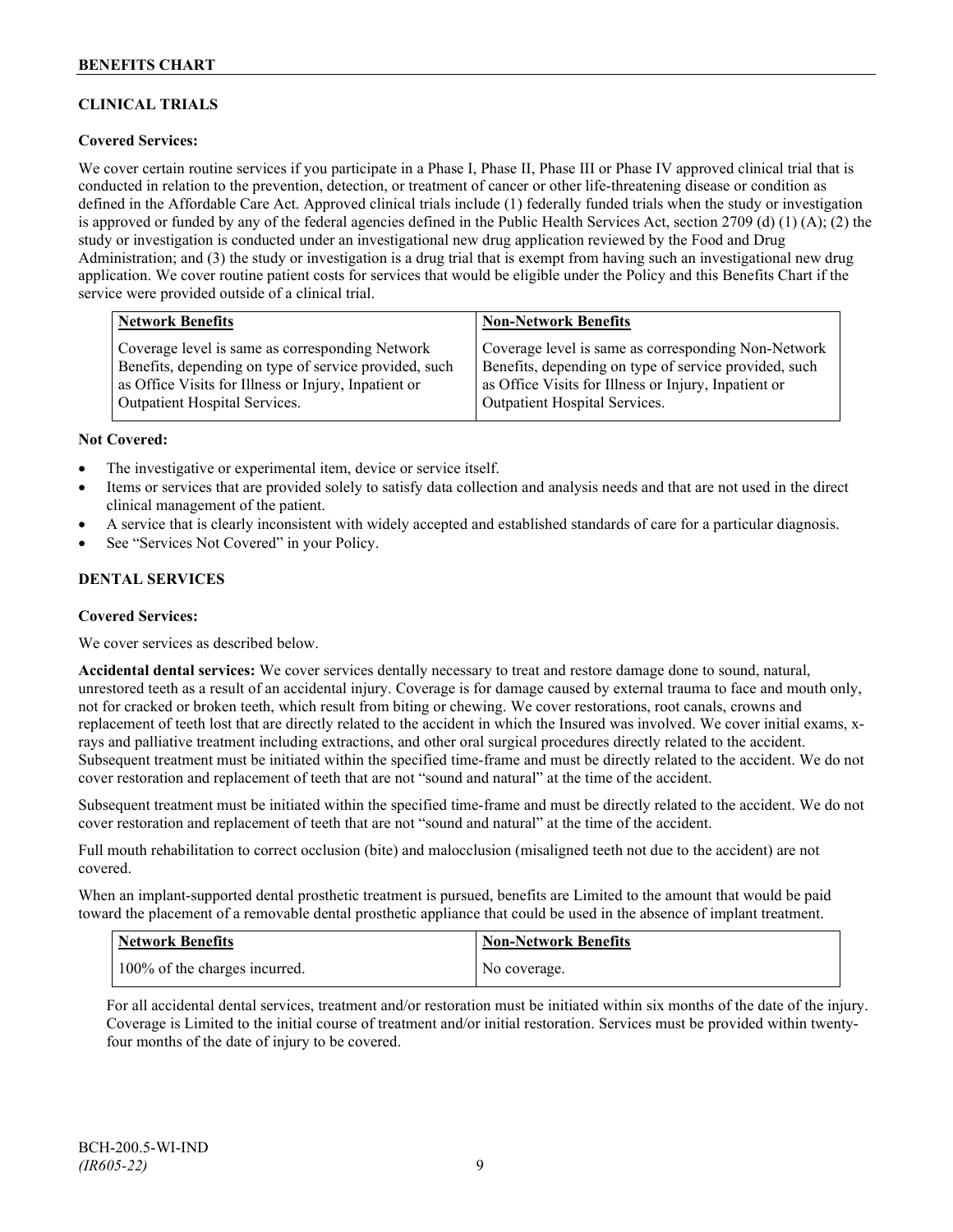# **CLINICAL TRIALS**

# **Covered Services:**

We cover certain routine services if you participate in a Phase I, Phase II, Phase III or Phase IV approved clinical trial that is conducted in relation to the prevention, detection, or treatment of cancer or other life-threatening disease or condition as defined in the Affordable Care Act. Approved clinical trials include (1) federally funded trials when the study or investigation is approved or funded by any of the federal agencies defined in the Public Health Services Act, section 2709 (d) (1) (A); (2) the study or investigation is conducted under an investigational new drug application reviewed by the Food and Drug Administration; and (3) the study or investigation is a drug trial that is exempt from having such an investigational new drug application. We cover routine patient costs for services that would be eligible under the Policy and this Benefits Chart if the service were provided outside of a clinical trial.

| <b>Network Benefits</b>                               | <b>Non-Network Benefits</b>                           |
|-------------------------------------------------------|-------------------------------------------------------|
| Coverage level is same as corresponding Network       | Coverage level is same as corresponding Non-Network   |
| Benefits, depending on type of service provided, such | Benefits, depending on type of service provided, such |
| as Office Visits for Illness or Injury, Inpatient or  | as Office Visits for Illness or Injury, Inpatient or  |
| <b>Outpatient Hospital Services.</b>                  | Outpatient Hospital Services.                         |

#### **Not Covered:**

- The investigative or experimental item, device or service itself.
- Items or services that are provided solely to satisfy data collection and analysis needs and that are not used in the direct clinical management of the patient.
- A service that is clearly inconsistent with widely accepted and established standards of care for a particular diagnosis.
- See "Services Not Covered" in your Policy.

#### **DENTAL SERVICES**

#### **Covered Services:**

We cover services as described below.

**Accidental dental services:** We cover services dentally necessary to treat and restore damage done to sound, natural, unrestored teeth as a result of an accidental injury. Coverage is for damage caused by external trauma to face and mouth only, not for cracked or broken teeth, which result from biting or chewing. We cover restorations, root canals, crowns and replacement of teeth lost that are directly related to the accident in which the Insured was involved. We cover initial exams, xrays and palliative treatment including extractions, and other oral surgical procedures directly related to the accident. Subsequent treatment must be initiated within the specified time-frame and must be directly related to the accident. We do not cover restoration and replacement of teeth that are not "sound and natural" at the time of the accident.

Subsequent treatment must be initiated within the specified time-frame and must be directly related to the accident. We do not cover restoration and replacement of teeth that are not "sound and natural" at the time of the accident.

Full mouth rehabilitation to correct occlusion (bite) and malocclusion (misaligned teeth not due to the accident) are not covered.

When an implant-supported dental prosthetic treatment is pursued, benefits are Limited to the amount that would be paid toward the placement of a removable dental prosthetic appliance that could be used in the absence of implant treatment.

| <b>Network Benefits</b>       | <b>Non-Network Benefits</b> |
|-------------------------------|-----------------------------|
| 100% of the charges incurred. | No coverage.                |

For all accidental dental services, treatment and/or restoration must be initiated within six months of the date of the injury. Coverage is Limited to the initial course of treatment and/or initial restoration. Services must be provided within twentyfour months of the date of injury to be covered.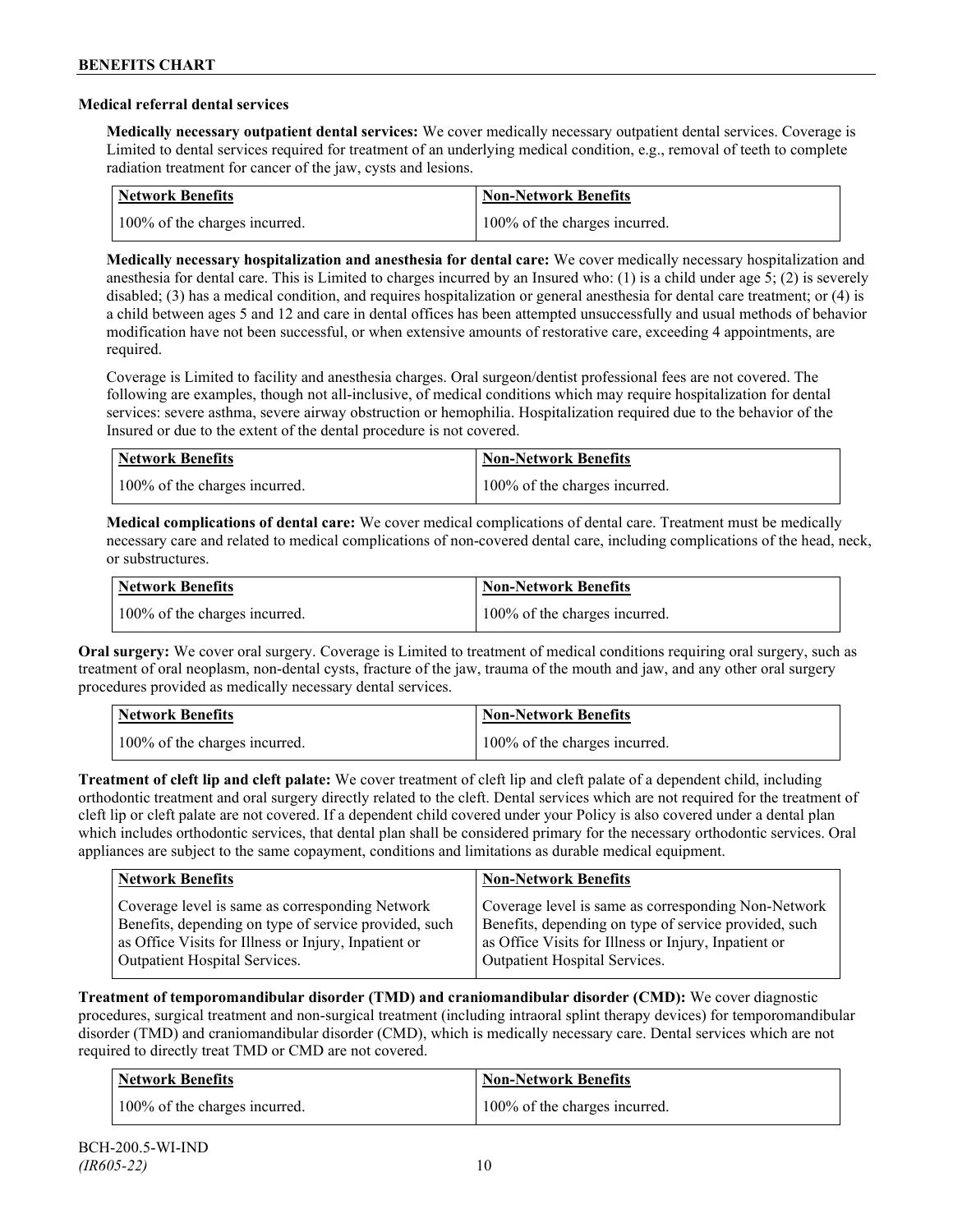### **Medical referral dental services**

**Medically necessary outpatient dental services:** We cover medically necessary outpatient dental services. Coverage is Limited to dental services required for treatment of an underlying medical condition, e.g., removal of teeth to complete radiation treatment for cancer of the jaw, cysts and lesions.

| Network Benefits              | <b>Non-Network Benefits</b>   |
|-------------------------------|-------------------------------|
| 100% of the charges incurred. | 100% of the charges incurred. |

**Medically necessary hospitalization and anesthesia for dental care:** We cover medically necessary hospitalization and anesthesia for dental care. This is Limited to charges incurred by an Insured who: (1) is a child under age 5; (2) is severely disabled; (3) has a medical condition, and requires hospitalization or general anesthesia for dental care treatment; or (4) is a child between ages 5 and 12 and care in dental offices has been attempted unsuccessfully and usual methods of behavior modification have not been successful, or when extensive amounts of restorative care, exceeding 4 appointments, are required.

Coverage is Limited to facility and anesthesia charges. Oral surgeon/dentist professional fees are not covered. The following are examples, though not all-inclusive, of medical conditions which may require hospitalization for dental services: severe asthma, severe airway obstruction or hemophilia. Hospitalization required due to the behavior of the Insured or due to the extent of the dental procedure is not covered.

| Network Benefits              | <b>Non-Network Benefits</b>   |
|-------------------------------|-------------------------------|
| 100% of the charges incurred. | 100% of the charges incurred. |

**Medical complications of dental care:** We cover medical complications of dental care. Treatment must be medically necessary care and related to medical complications of non-covered dental care, including complications of the head, neck, or substructures.

| Network Benefits              | Non-Network Benefits          |
|-------------------------------|-------------------------------|
| 100% of the charges incurred. | 100% of the charges incurred. |

**Oral surgery:** We cover oral surgery. Coverage is Limited to treatment of medical conditions requiring oral surgery, such as treatment of oral neoplasm, non-dental cysts, fracture of the jaw, trauma of the mouth and jaw, and any other oral surgery procedures provided as medically necessary dental services.

| <b>Network Benefits</b> |                               | <b>Non-Network Benefits</b>   |
|-------------------------|-------------------------------|-------------------------------|
|                         | 100% of the charges incurred. | 100% of the charges incurred. |

**Treatment of cleft lip and cleft palate:** We cover treatment of cleft lip and cleft palate of a dependent child, including orthodontic treatment and oral surgery directly related to the cleft. Dental services which are not required for the treatment of cleft lip or cleft palate are not covered. If a dependent child covered under your Policy is also covered under a dental plan which includes orthodontic services, that dental plan shall be considered primary for the necessary orthodontic services. Oral appliances are subject to the same copayment, conditions and limitations as durable medical equipment.

| <b>Network Benefits</b>                               | <b>Non-Network Benefits</b>                           |
|-------------------------------------------------------|-------------------------------------------------------|
| Coverage level is same as corresponding Network       | Coverage level is same as corresponding Non-Network   |
| Benefits, depending on type of service provided, such | Benefits, depending on type of service provided, such |
| as Office Visits for Illness or Injury, Inpatient or  | as Office Visits for Illness or Injury, Inpatient or  |
| Outpatient Hospital Services.                         | Outpatient Hospital Services.                         |

**Treatment of temporomandibular disorder (TMD) and craniomandibular disorder (CMD):** We cover diagnostic procedures, surgical treatment and non-surgical treatment (including intraoral splint therapy devices) for temporomandibular disorder (TMD) and craniomandibular disorder (CMD), which is medically necessary care. Dental services which are not required to directly treat TMD or CMD are not covered.

| <b>Network Benefits</b>       | <b>Non-Network Benefits</b>   |
|-------------------------------|-------------------------------|
| 100% of the charges incurred. | 100% of the charges incurred. |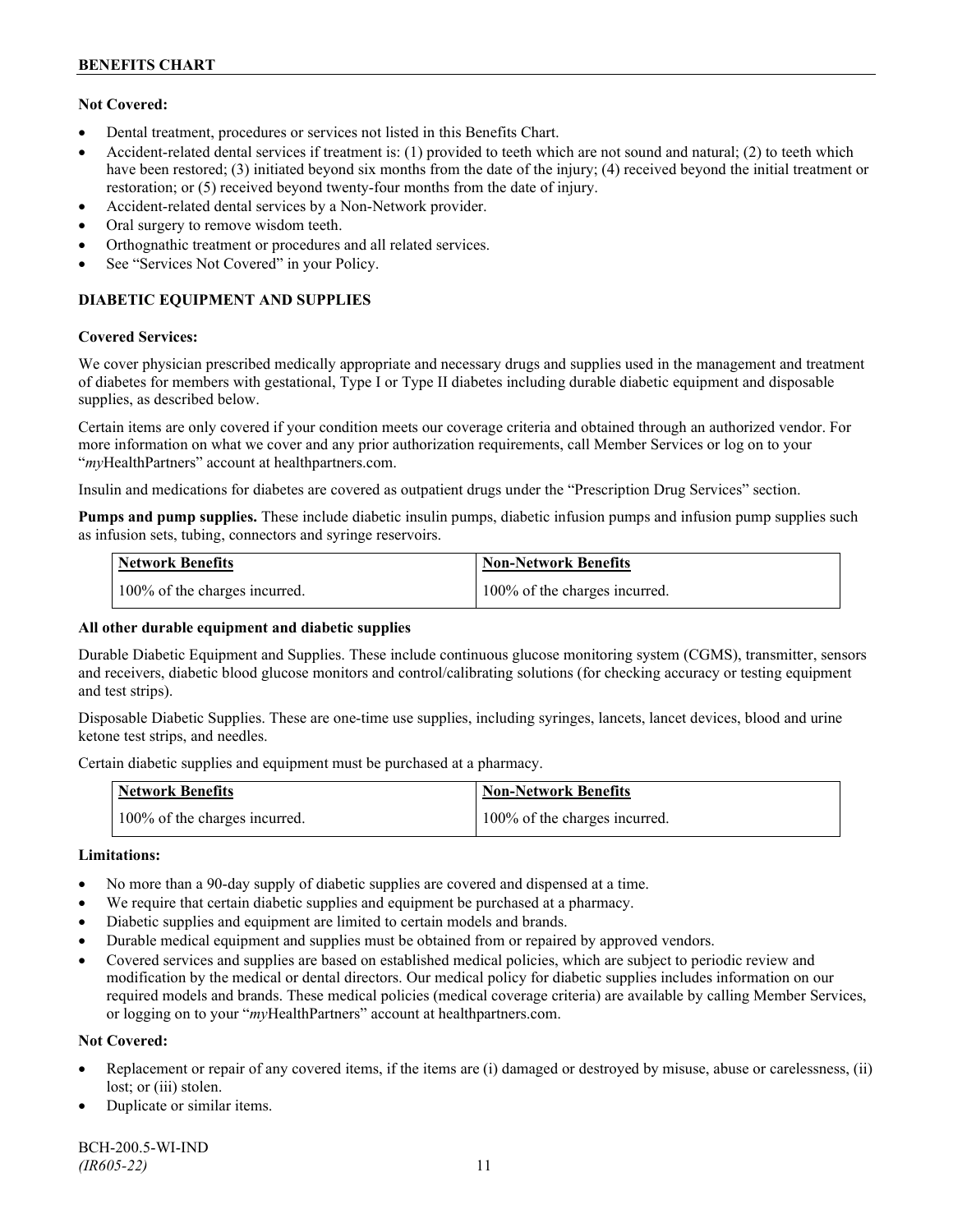# **Not Covered:**

- Dental treatment, procedures or services not listed in this Benefits Chart.
- Accident-related dental services if treatment is: (1) provided to teeth which are not sound and natural; (2) to teeth which have been restored; (3) initiated beyond six months from the date of the injury; (4) received beyond the initial treatment or restoration; or (5) received beyond twenty-four months from the date of injury.
- Accident-related dental services by a Non-Network provider.
- Oral surgery to remove wisdom teeth.
- Orthognathic treatment or procedures and all related services.
- See "Services Not Covered" in your Policy.

# **DIABETIC EQUIPMENT AND SUPPLIES**

#### **Covered Services:**

We cover physician prescribed medically appropriate and necessary drugs and supplies used in the management and treatment of diabetes for members with gestational, Type I or Type II diabetes including durable diabetic equipment and disposable supplies, as described below.

Certain items are only covered if your condition meets our coverage criteria and obtained through an authorized vendor. For more information on what we cover and any prior authorization requirements, call Member Services or log on to your "*my*HealthPartners" account at [healthpartners.com.](http://www.healthpartners.com/)

Insulin and medications for diabetes are covered as outpatient drugs under the "Prescription Drug Services" section.

**Pumps and pump supplies.** These include diabetic insulin pumps, diabetic infusion pumps and infusion pump supplies such as infusion sets, tubing, connectors and syringe reservoirs.

| <b>Network Benefits</b>       | <b>Non-Network Benefits</b>   |
|-------------------------------|-------------------------------|
| 100% of the charges incurred. | 100% of the charges incurred. |

# **All other durable equipment and diabetic supplies**

Durable Diabetic Equipment and Supplies. These include continuous glucose monitoring system (CGMS), transmitter, sensors and receivers, diabetic blood glucose monitors and control/calibrating solutions (for checking accuracy or testing equipment and test strips).

Disposable Diabetic Supplies. These are one-time use supplies, including syringes, lancets, lancet devices, blood and urine ketone test strips, and needles.

Certain diabetic supplies and equipment must be purchased at a pharmacy.

| <b>Network Benefits</b>       | <b>Non-Network Benefits</b>   |
|-------------------------------|-------------------------------|
| 100% of the charges incurred. | 100% of the charges incurred. |

# **Limitations:**

- No more than a 90-day supply of diabetic supplies are covered and dispensed at a time.
- We require that certain diabetic supplies and equipment be purchased at a pharmacy.
- Diabetic supplies and equipment are limited to certain models and brands.
- Durable medical equipment and supplies must be obtained from or repaired by approved vendors.
- Covered services and supplies are based on established medical policies, which are subject to periodic review and modification by the medical or dental directors. Our medical policy for diabetic supplies includes information on our required models and brands. These medical policies (medical coverage criteria) are available by calling Member Services, or logging on to your "*my*HealthPartners" account at healthpartners.com.

# **Not Covered:**

- Replacement or repair of any covered items, if the items are (i) damaged or destroyed by misuse, abuse or carelessness, (ii) lost; or (iii) stolen.
- Duplicate or similar items.

BCH-200.5-WI-IND *(IR605-22)* 11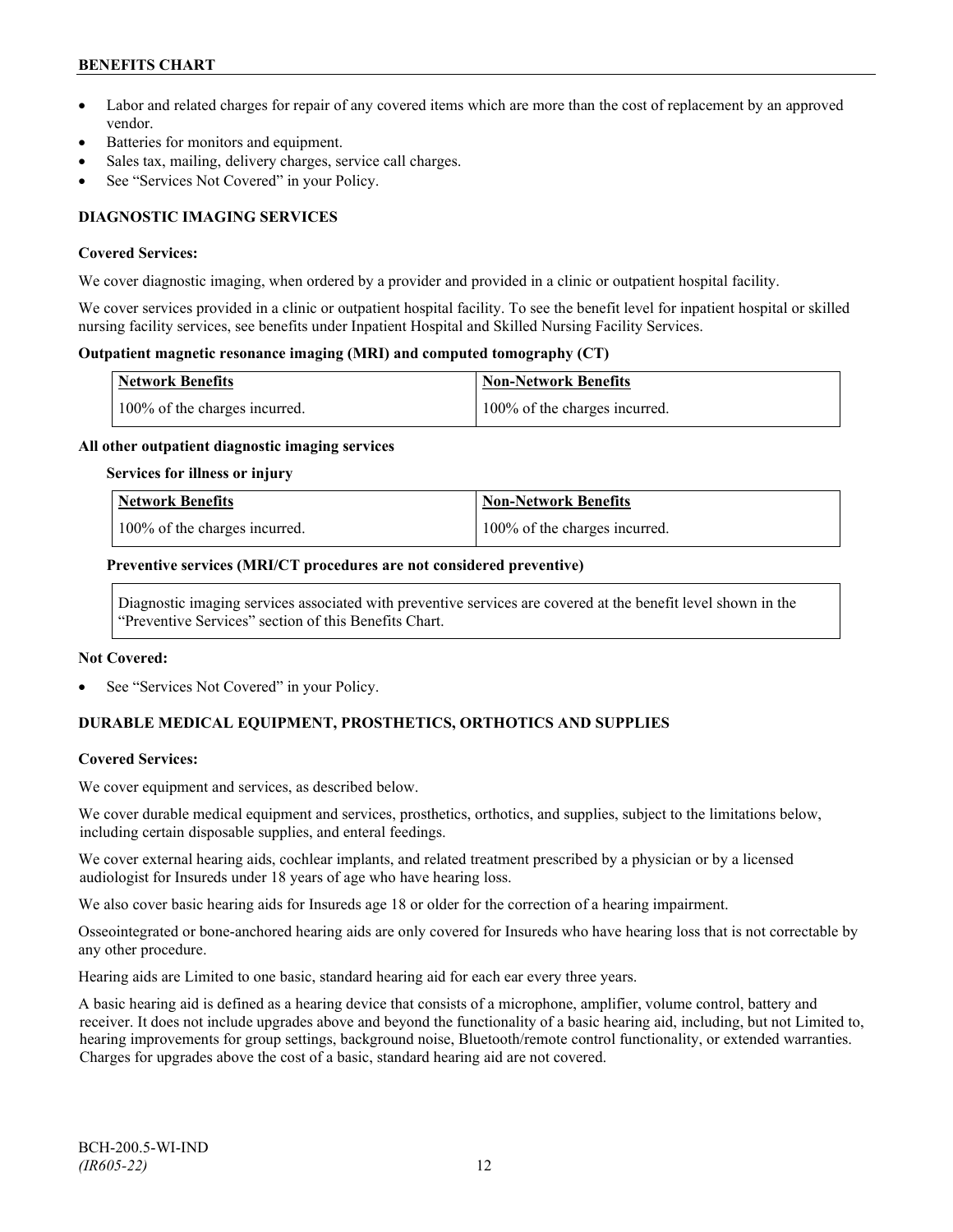- Labor and related charges for repair of any covered items which are more than the cost of replacement by an approved vendor.
- Batteries for monitors and equipment.
- Sales tax, mailing, delivery charges, service call charges.
- See "Services Not Covered" in your Policy.

# **DIAGNOSTIC IMAGING SERVICES**

#### **Covered Services:**

We cover diagnostic imaging, when ordered by a provider and provided in a clinic or outpatient hospital facility.

We cover services provided in a clinic or outpatient hospital facility. To see the benefit level for inpatient hospital or skilled nursing facility services, see benefits under Inpatient Hospital and Skilled Nursing Facility Services.

### **Outpatient magnetic resonance imaging (MRI) and computed tomography (CT)**

| <b>Network Benefits</b>       | <b>Non-Network Benefits</b>   |
|-------------------------------|-------------------------------|
| 100% of the charges incurred. | 100% of the charges incurred. |

#### **All other outpatient diagnostic imaging services**

#### **Services for illness or injury**

| <b>Network Benefits</b>       | <b>Non-Network Benefits</b>      |
|-------------------------------|----------------------------------|
| 100% of the charges incurred. | $100\%$ of the charges incurred. |

#### **Preventive services (MRI/CT procedures are not considered preventive)**

Diagnostic imaging services associated with preventive services are covered at the benefit level shown in the "Preventive Services" section of this Benefits Chart.

#### **Not Covered:**

See "Services Not Covered" in your Policy.

# **DURABLE MEDICAL EQUIPMENT, PROSTHETICS, ORTHOTICS AND SUPPLIES**

# **Covered Services:**

We cover equipment and services, as described below.

We cover durable medical equipment and services, prosthetics, orthotics, and supplies, subject to the limitations below, including certain disposable supplies, and enteral feedings.

We cover external hearing aids, cochlear implants, and related treatment prescribed by a physician or by a licensed audiologist for Insureds under 18 years of age who have hearing loss.

We also cover basic hearing aids for Insureds age 18 or older for the correction of a hearing impairment.

Osseointegrated or bone-anchored hearing aids are only covered for Insureds who have hearing loss that is not correctable by any other procedure.

Hearing aids are Limited to one basic, standard hearing aid for each ear every three years.

A basic hearing aid is defined as a hearing device that consists of a microphone, amplifier, volume control, battery and receiver. It does not include upgrades above and beyond the functionality of a basic hearing aid, including, but not Limited to, hearing improvements for group settings, background noise, Bluetooth/remote control functionality, or extended warranties. Charges for upgrades above the cost of a basic, standard hearing aid are not covered.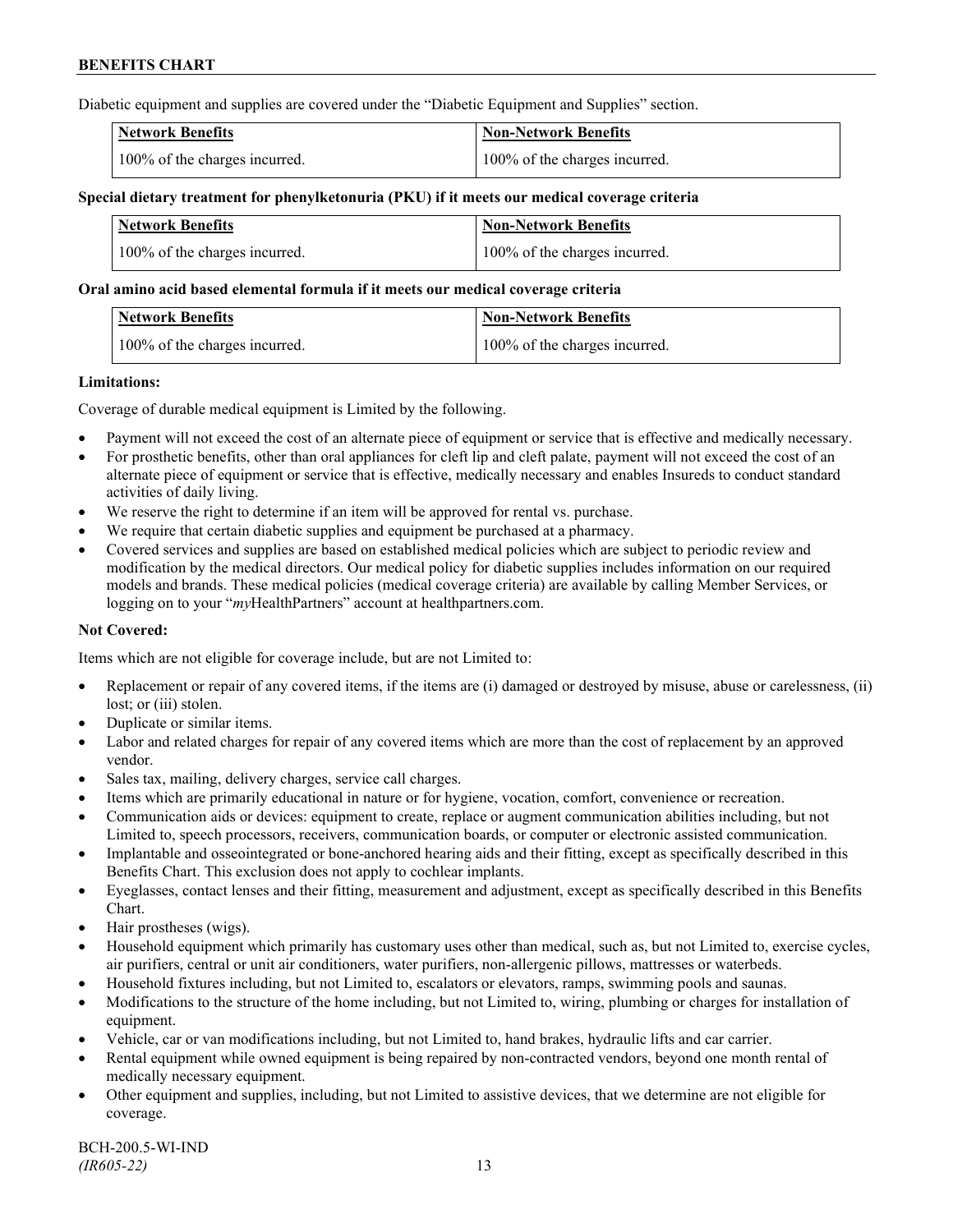Diabetic equipment and supplies are covered under the "Diabetic Equipment and Supplies" section.

| <b>Network Benefits</b>       | <b>Non-Network Benefits</b>   |
|-------------------------------|-------------------------------|
| 100% of the charges incurred. | 100% of the charges incurred. |

### **Special dietary treatment for phenylketonuria (PKU) if it meets our medical coverage criteria**

| <b>Network Benefits</b>       | <b>Non-Network Benefits</b>   |
|-------------------------------|-------------------------------|
| 100% of the charges incurred. | 100% of the charges incurred. |

#### **Oral amino acid based elemental formula if it meets our medical coverage criteria**

| Network Benefits              | Non-Network Benefits          |
|-------------------------------|-------------------------------|
| 100% of the charges incurred. | 100% of the charges incurred. |

#### **Limitations:**

Coverage of durable medical equipment is Limited by the following.

- Payment will not exceed the cost of an alternate piece of equipment or service that is effective and medically necessary.
- For prosthetic benefits, other than oral appliances for cleft lip and cleft palate, payment will not exceed the cost of an alternate piece of equipment or service that is effective, medically necessary and enables Insureds to conduct standard activities of daily living.
- We reserve the right to determine if an item will be approved for rental vs. purchase.
- We require that certain diabetic supplies and equipment be purchased at a pharmacy.
- Covered services and supplies are based on established medical policies which are subject to periodic review and modification by the medical directors. Our medical policy for diabetic supplies includes information on our required models and brands. These medical policies (medical coverage criteria) are available by calling Member Services, or logging on to your "*my*HealthPartners" account at [healthpartners.com.](http://www.healthpartners.com/)

# **Not Covered:**

Items which are not eligible for coverage include, but are not Limited to:

- Replacement or repair of any covered items, if the items are (i) damaged or destroyed by misuse, abuse or carelessness, (ii) lost; or (iii) stolen.
- Duplicate or similar items.
- Labor and related charges for repair of any covered items which are more than the cost of replacement by an approved vendor.
- Sales tax, mailing, delivery charges, service call charges.
- Items which are primarily educational in nature or for hygiene, vocation, comfort, convenience or recreation.
- Communication aids or devices: equipment to create, replace or augment communication abilities including, but not Limited to, speech processors, receivers, communication boards, or computer or electronic assisted communication.
- Implantable and osseointegrated or bone-anchored hearing aids and their fitting, except as specifically described in this Benefits Chart. This exclusion does not apply to cochlear implants.
- Eyeglasses, contact lenses and their fitting, measurement and adjustment, except as specifically described in this Benefits Chart.
- Hair prostheses (wigs).
- Household equipment which primarily has customary uses other than medical, such as, but not Limited to, exercise cycles, air purifiers, central or unit air conditioners, water purifiers, non-allergenic pillows, mattresses or waterbeds.
- Household fixtures including, but not Limited to, escalators or elevators, ramps, swimming pools and saunas.
- Modifications to the structure of the home including, but not Limited to, wiring, plumbing or charges for installation of equipment.
- Vehicle, car or van modifications including, but not Limited to, hand brakes, hydraulic lifts and car carrier.
- Rental equipment while owned equipment is being repaired by non-contracted vendors, beyond one month rental of medically necessary equipment.
- Other equipment and supplies, including, but not Limited to assistive devices, that we determine are not eligible for coverage.

BCH-200.5-WI-IND *(IR605-22)* 13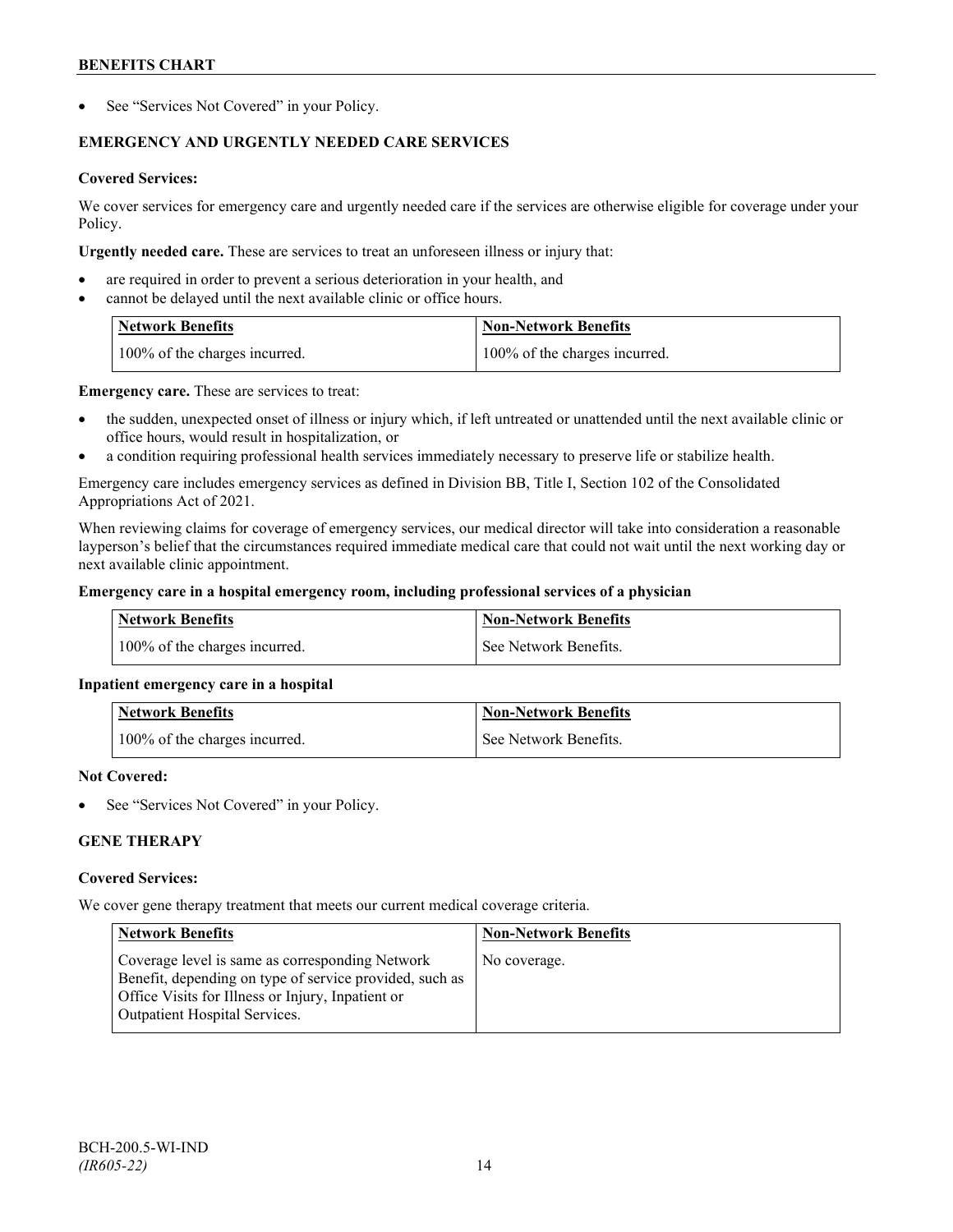See "Services Not Covered" in your Policy.

# **EMERGENCY AND URGENTLY NEEDED CARE SERVICES**

# **Covered Services:**

We cover services for emergency care and urgently needed care if the services are otherwise eligible for coverage under your Policy.

**Urgently needed care.** These are services to treat an unforeseen illness or injury that:

- are required in order to prevent a serious deterioration in your health, and
- cannot be delayed until the next available clinic or office hours.

| <b>Network Benefits</b>       | <b>Non-Network Benefits</b>   |
|-------------------------------|-------------------------------|
| 100% of the charges incurred. | 100% of the charges incurred. |

**Emergency care.** These are services to treat:

- the sudden, unexpected onset of illness or injury which, if left untreated or unattended until the next available clinic or office hours, would result in hospitalization, or
- a condition requiring professional health services immediately necessary to preserve life or stabilize health.

Emergency care includes emergency services as defined in Division BB, Title I, Section 102 of the Consolidated Appropriations Act of 2021.

When reviewing claims for coverage of emergency services, our medical director will take into consideration a reasonable layperson's belief that the circumstances required immediate medical care that could not wait until the next working day or next available clinic appointment.

# **Emergency care in a hospital emergency room, including professional services of a physician**

| <b>Network Benefits</b>       | Non-Network Benefits    |
|-------------------------------|-------------------------|
| 100% of the charges incurred. | l See Network Benefits. |

# **Inpatient emergency care in a hospital**

| <b>Network Benefits</b>       | <b>Non-Network Benefits</b> |
|-------------------------------|-----------------------------|
| 100% of the charges incurred. | See Network Benefits.       |

#### **Not Covered:**

See "Services Not Covered" in your Policy.

# **GENE THERAPY**

# **Covered Services:**

We cover gene therapy treatment that meets our current medical coverage criteria.

| <b>Network Benefits</b>                                                                                                                                                                                 | <b>Non-Network Benefits</b> |
|---------------------------------------------------------------------------------------------------------------------------------------------------------------------------------------------------------|-----------------------------|
| Coverage level is same as corresponding Network<br>Benefit, depending on type of service provided, such as<br>Office Visits for Illness or Injury, Inpatient or<br><b>Outpatient Hospital Services.</b> | No coverage.                |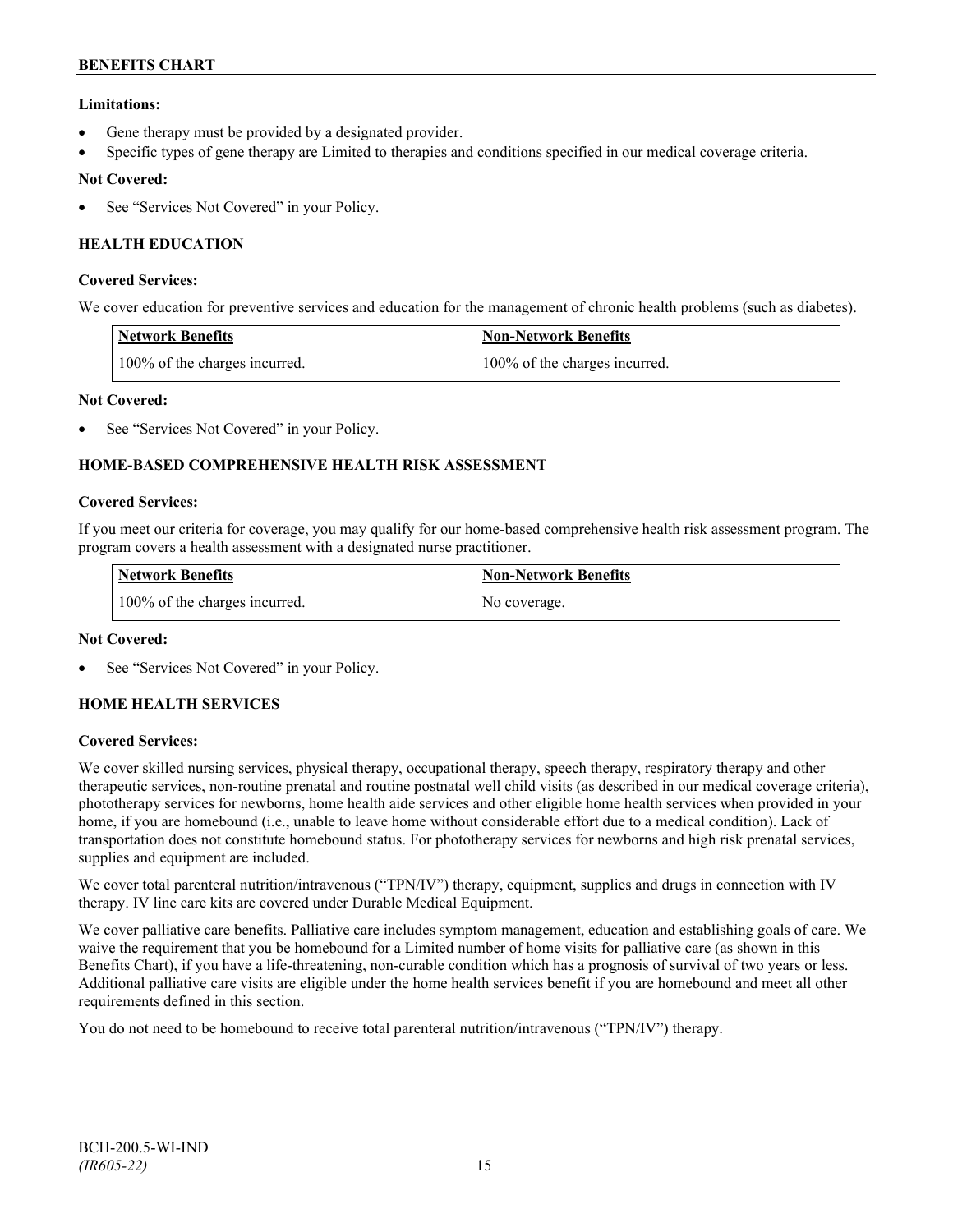# **Limitations:**

- Gene therapy must be provided by a designated provider.
- Specific types of gene therapy are Limited to therapies and conditions specified in our medical coverage criteria.

# **Not Covered:**

See "Services Not Covered" in your Policy.

# **HEALTH EDUCATION**

### **Covered Services:**

We cover education for preventive services and education for the management of chronic health problems (such as diabetes).

| <b>Network Benefits</b>       | <b>Non-Network Benefits</b>   |
|-------------------------------|-------------------------------|
| 100% of the charges incurred. | 100% of the charges incurred. |

# **Not Covered:**

See "Services Not Covered" in your Policy.

# **HOME-BASED COMPREHENSIVE HEALTH RISK ASSESSMENT**

#### **Covered Services:**

If you meet our criteria for coverage, you may qualify for our home-based comprehensive health risk assessment program. The program covers a health assessment with a designated nurse practitioner.

| <b>Network Benefits</b>       | <b>Non-Network Benefits</b> |
|-------------------------------|-----------------------------|
| 100% of the charges incurred. | No coverage.                |

# **Not Covered:**

See "Services Not Covered" in your Policy.

# **HOME HEALTH SERVICES**

# **Covered Services:**

We cover skilled nursing services, physical therapy, occupational therapy, speech therapy, respiratory therapy and other therapeutic services, non-routine prenatal and routine postnatal well child visits (as described in our medical coverage criteria), phototherapy services for newborns, home health aide services and other eligible home health services when provided in your home, if you are homebound (i.e., unable to leave home without considerable effort due to a medical condition). Lack of transportation does not constitute homebound status. For phototherapy services for newborns and high risk prenatal services, supplies and equipment are included.

We cover total parenteral nutrition/intravenous ("TPN/IV") therapy, equipment, supplies and drugs in connection with IV therapy. IV line care kits are covered under Durable Medical Equipment.

We cover palliative care benefits. Palliative care includes symptom management, education and establishing goals of care. We waive the requirement that you be homebound for a Limited number of home visits for palliative care (as shown in this Benefits Chart), if you have a life-threatening, non-curable condition which has a prognosis of survival of two years or less. Additional palliative care visits are eligible under the home health services benefit if you are homebound and meet all other requirements defined in this section.

You do not need to be homebound to receive total parenteral nutrition/intravenous ("TPN/IV") therapy.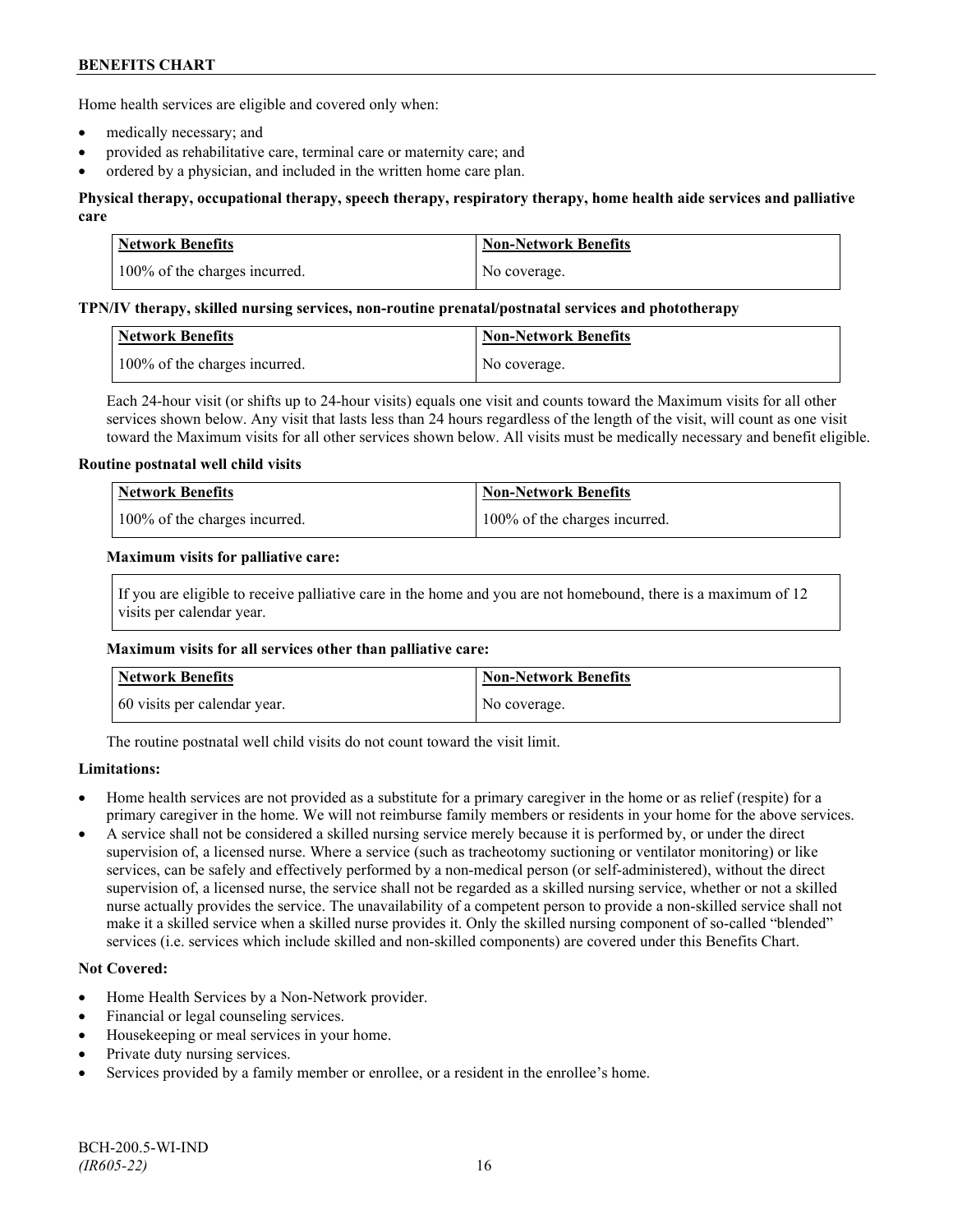Home health services are eligible and covered only when:

- medically necessary; and
- provided as rehabilitative care, terminal care or maternity care; and
- ordered by a physician, and included in the written home care plan.

# **Physical therapy, occupational therapy, speech therapy, respiratory therapy, home health aide services and palliative care**

| <b>Network Benefits</b>       | <b>Non-Network Benefits</b> |
|-------------------------------|-----------------------------|
| 100% of the charges incurred. | No coverage.                |

#### **TPN/IV therapy, skilled nursing services, non-routine prenatal/postnatal services and phototherapy**

| Network Benefits              | Non-Network Benefits |
|-------------------------------|----------------------|
| 100% of the charges incurred. | No coverage.         |

Each 24-hour visit (or shifts up to 24-hour visits) equals one visit and counts toward the Maximum visits for all other services shown below. Any visit that lasts less than 24 hours regardless of the length of the visit, will count as one visit toward the Maximum visits for all other services shown below. All visits must be medically necessary and benefit eligible.

#### **Routine postnatal well child visits**

| <b>Network Benefits</b>       | Non-Network Benefits          |
|-------------------------------|-------------------------------|
| 100% of the charges incurred. | 100% of the charges incurred. |

#### **Maximum visits for palliative care:**

If you are eligible to receive palliative care in the home and you are not homebound, there is a maximum of 12 visits per calendar year.

#### **Maximum visits for all services other than palliative care:**

| Network Benefits             | <b>Non-Network Benefits</b> |
|------------------------------|-----------------------------|
| 60 visits per calendar year. | No coverage.                |

The routine postnatal well child visits do not count toward the visit limit.

# **Limitations:**

- Home health services are not provided as a substitute for a primary caregiver in the home or as relief (respite) for a primary caregiver in the home. We will not reimburse family members or residents in your home for the above services.
- A service shall not be considered a skilled nursing service merely because it is performed by, or under the direct supervision of, a licensed nurse. Where a service (such as tracheotomy suctioning or ventilator monitoring) or like services, can be safely and effectively performed by a non-medical person (or self-administered), without the direct supervision of, a licensed nurse, the service shall not be regarded as a skilled nursing service, whether or not a skilled nurse actually provides the service. The unavailability of a competent person to provide a non-skilled service shall not make it a skilled service when a skilled nurse provides it. Only the skilled nursing component of so-called "blended" services (i.e. services which include skilled and non-skilled components) are covered under this Benefits Chart.

# **Not Covered:**

- Home Health Services by a Non-Network provider.
- Financial or legal counseling services.
- Housekeeping or meal services in your home.
- Private duty nursing services.
- Services provided by a family member or enrollee, or a resident in the enrollee's home.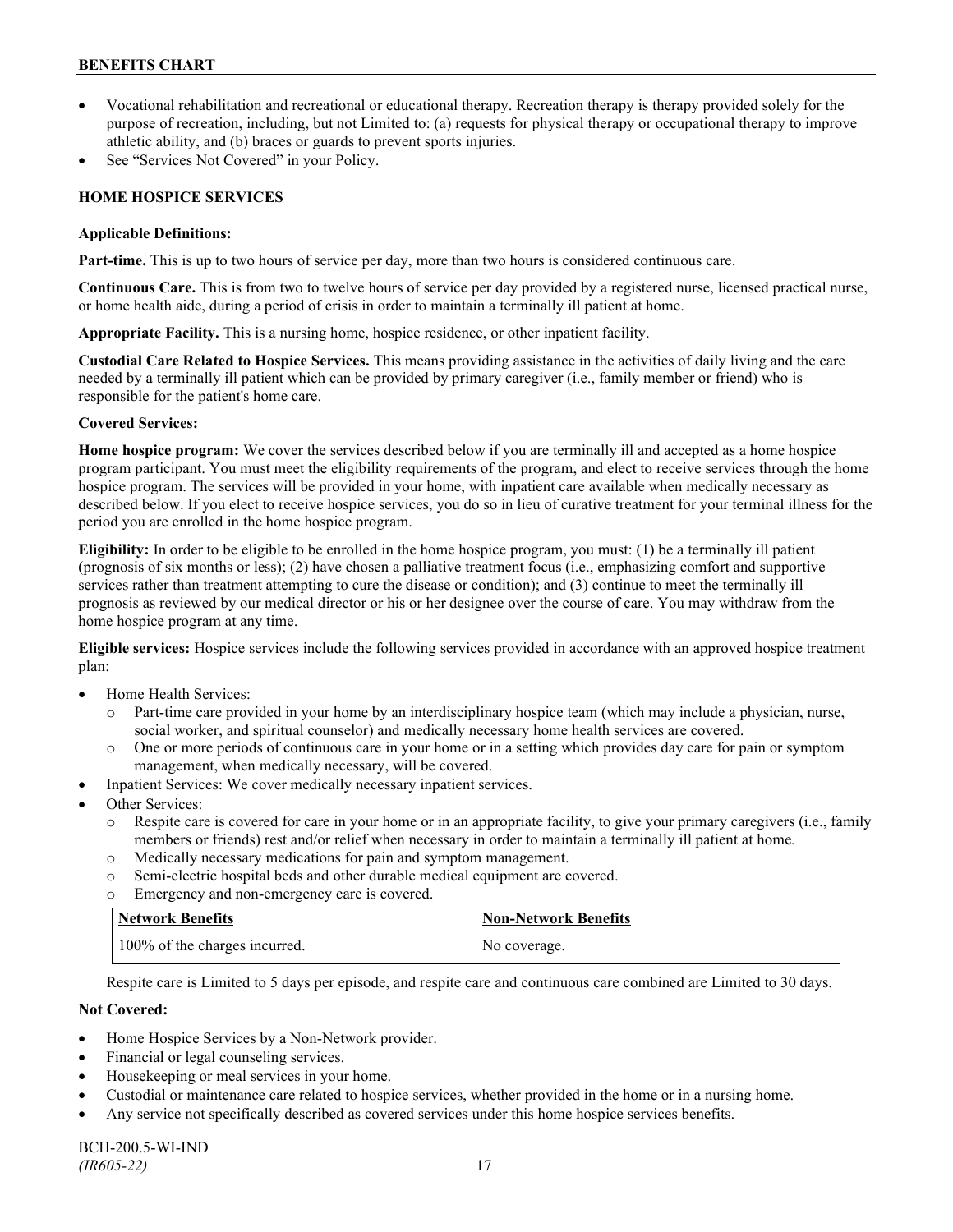- Vocational rehabilitation and recreational or educational therapy. Recreation therapy is therapy provided solely for the purpose of recreation, including, but not Limited to: (a) requests for physical therapy or occupational therapy to improve athletic ability, and (b) braces or guards to prevent sports injuries.
- See "Services Not Covered" in your Policy.

# **HOME HOSPICE SERVICES**

### **Applicable Definitions:**

**Part-time.** This is up to two hours of service per day, more than two hours is considered continuous care.

**Continuous Care.** This is from two to twelve hours of service per day provided by a registered nurse, licensed practical nurse, or home health aide, during a period of crisis in order to maintain a terminally ill patient at home.

**Appropriate Facility.** This is a nursing home, hospice residence, or other inpatient facility.

**Custodial Care Related to Hospice Services.** This means providing assistance in the activities of daily living and the care needed by a terminally ill patient which can be provided by primary caregiver (i.e., family member or friend) who is responsible for the patient's home care.

# **Covered Services:**

**Home hospice program:** We cover the services described below if you are terminally ill and accepted as a home hospice program participant. You must meet the eligibility requirements of the program, and elect to receive services through the home hospice program. The services will be provided in your home, with inpatient care available when medically necessary as described below. If you elect to receive hospice services, you do so in lieu of curative treatment for your terminal illness for the period you are enrolled in the home hospice program.

**Eligibility:** In order to be eligible to be enrolled in the home hospice program, you must: (1) be a terminally ill patient (prognosis of six months or less); (2) have chosen a palliative treatment focus (i.e., emphasizing comfort and supportive services rather than treatment attempting to cure the disease or condition); and (3) continue to meet the terminally ill prognosis as reviewed by our medical director or his or her designee over the course of care. You may withdraw from the home hospice program at any time.

**Eligible services:** Hospice services include the following services provided in accordance with an approved hospice treatment plan:

- Home Health Services:
	- o Part-time care provided in your home by an interdisciplinary hospice team (which may include a physician, nurse, social worker, and spiritual counselor) and medically necessary home health services are covered.
	- o One or more periods of continuous care in your home or in a setting which provides day care for pain or symptom management, when medically necessary, will be covered.
- Inpatient Services: We cover medically necessary inpatient services.
- Other Services:
	- o Respite care is covered for care in your home or in an appropriate facility, to give your primary caregivers (i.e., family members or friends) rest and/or relief when necessary in order to maintain a terminally ill patient at home*.*
	- o Medically necessary medications for pain and symptom management.
	- o Semi-electric hospital beds and other durable medical equipment are covered.
	- o Emergency and non-emergency care is covered.

| Network Benefits              | <b>Non-Network Benefits</b> |
|-------------------------------|-----------------------------|
| 100% of the charges incurred. | No coverage.                |

Respite care is Limited to 5 days per episode, and respite care and continuous care combined are Limited to 30 days.

# **Not Covered:**

- Home Hospice Services by a Non-Network provider.
- Financial or legal counseling services.
- Housekeeping or meal services in your home.
- Custodial or maintenance care related to hospice services, whether provided in the home or in a nursing home.
- Any service not specifically described as covered services under this home hospice services benefits.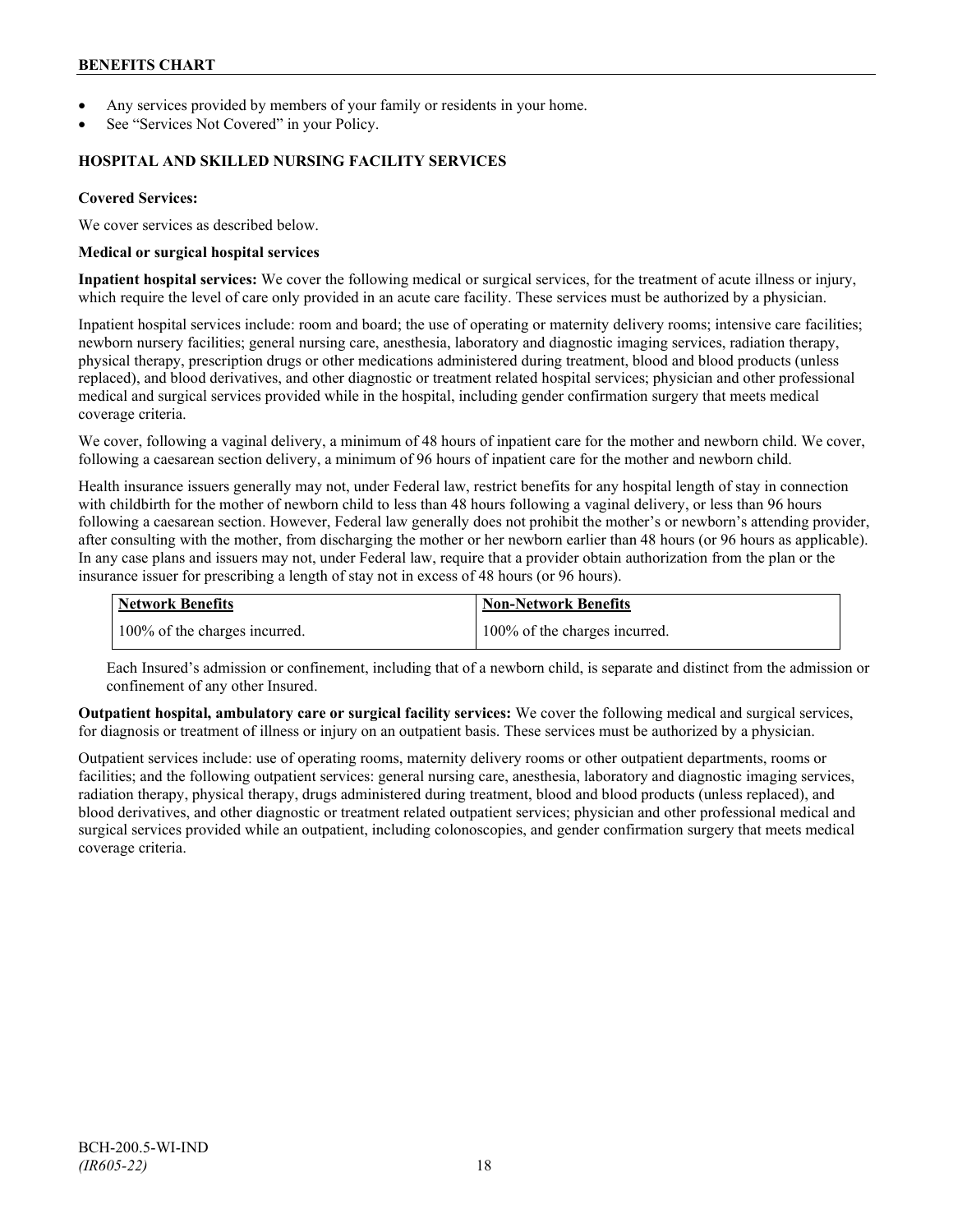- Any services provided by members of your family or residents in your home.
- See "Services Not Covered" in your Policy.

### **HOSPITAL AND SKILLED NURSING FACILITY SERVICES**

### **Covered Services:**

We cover services as described below.

#### **Medical or surgical hospital services**

**Inpatient hospital services:** We cover the following medical or surgical services, for the treatment of acute illness or injury, which require the level of care only provided in an acute care facility. These services must be authorized by a physician.

Inpatient hospital services include: room and board; the use of operating or maternity delivery rooms; intensive care facilities; newborn nursery facilities; general nursing care, anesthesia, laboratory and diagnostic imaging services, radiation therapy, physical therapy, prescription drugs or other medications administered during treatment, blood and blood products (unless replaced), and blood derivatives, and other diagnostic or treatment related hospital services; physician and other professional medical and surgical services provided while in the hospital, including gender confirmation surgery that meets medical coverage criteria.

We cover, following a vaginal delivery, a minimum of 48 hours of inpatient care for the mother and newborn child. We cover, following a caesarean section delivery, a minimum of 96 hours of inpatient care for the mother and newborn child.

Health insurance issuers generally may not, under Federal law, restrict benefits for any hospital length of stay in connection with childbirth for the mother of newborn child to less than 48 hours following a vaginal delivery, or less than 96 hours following a caesarean section. However, Federal law generally does not prohibit the mother's or newborn's attending provider, after consulting with the mother, from discharging the mother or her newborn earlier than 48 hours (or 96 hours as applicable). In any case plans and issuers may not, under Federal law, require that a provider obtain authorization from the plan or the insurance issuer for prescribing a length of stay not in excess of 48 hours (or 96 hours).

| <b>Network Benefits</b>       | Non-Network Benefits          |
|-------------------------------|-------------------------------|
| 100% of the charges incurred. | 100% of the charges incurred. |

Each Insured's admission or confinement, including that of a newborn child, is separate and distinct from the admission or confinement of any other Insured.

**Outpatient hospital, ambulatory care or surgical facility services:** We cover the following medical and surgical services, for diagnosis or treatment of illness or injury on an outpatient basis. These services must be authorized by a physician.

Outpatient services include: use of operating rooms, maternity delivery rooms or other outpatient departments, rooms or facilities; and the following outpatient services: general nursing care, anesthesia, laboratory and diagnostic imaging services, radiation therapy, physical therapy, drugs administered during treatment, blood and blood products (unless replaced), and blood derivatives, and other diagnostic or treatment related outpatient services; physician and other professional medical and surgical services provided while an outpatient, including colonoscopies, and gender confirmation surgery that meets medical coverage criteria.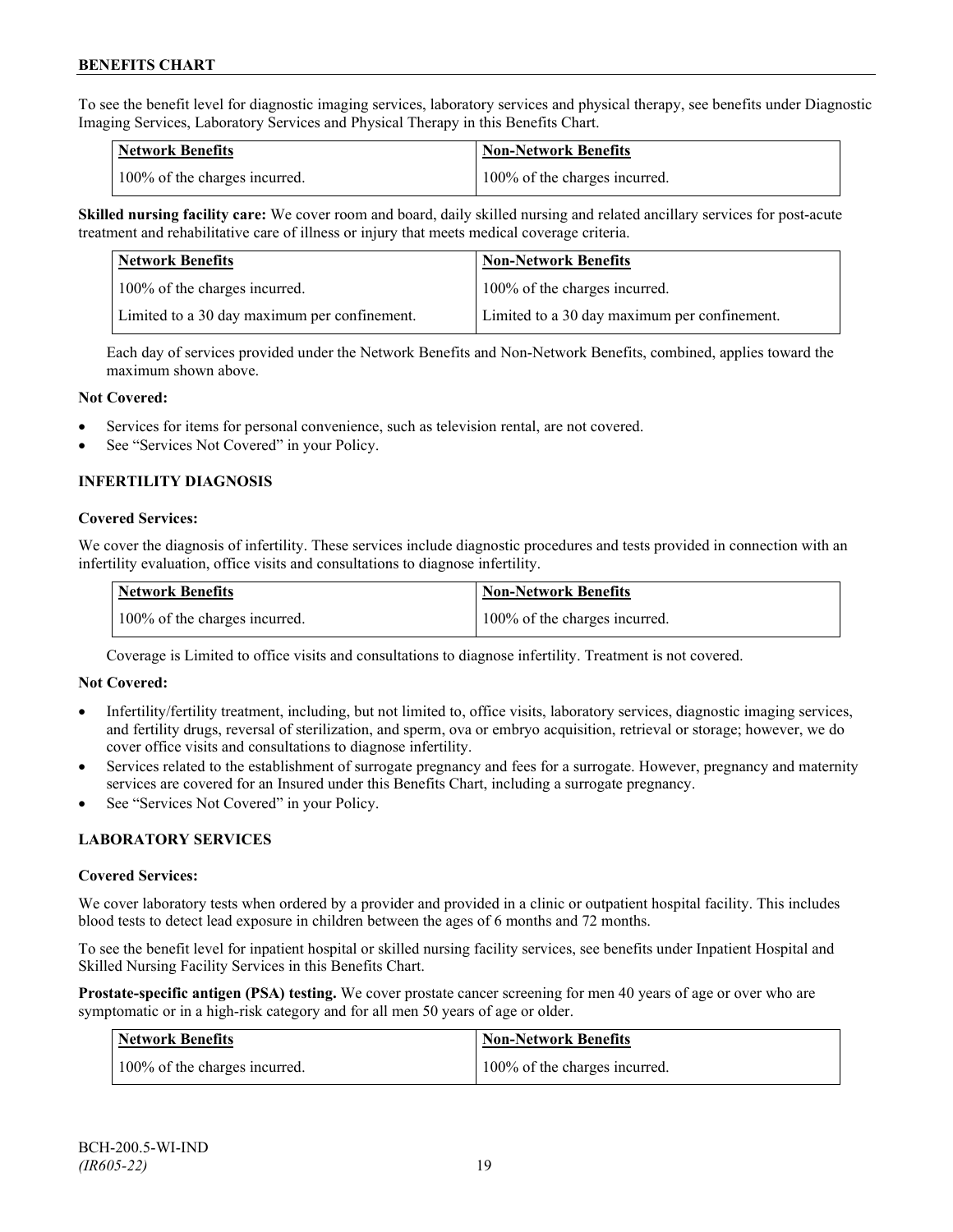To see the benefit level for diagnostic imaging services, laboratory services and physical therapy, see benefits under Diagnostic Imaging Services, Laboratory Services and Physical Therapy in this Benefits Chart.

| <b>Network Benefits</b>       | <b>Non-Network Benefits</b>   |
|-------------------------------|-------------------------------|
| 100% of the charges incurred. | 100% of the charges incurred. |

**Skilled nursing facility care:** We cover room and board, daily skilled nursing and related ancillary services for post-acute treatment and rehabilitative care of illness or injury that meets medical coverage criteria.

| Network Benefits                             | <b>Non-Network Benefits</b>                  |
|----------------------------------------------|----------------------------------------------|
| 100% of the charges incurred.                | 100% of the charges incurred.                |
| Limited to a 30 day maximum per confinement. | Limited to a 30 day maximum per confinement. |

Each day of services provided under the Network Benefits and Non-Network Benefits, combined, applies toward the maximum shown above.

#### **Not Covered:**

- Services for items for personal convenience, such as television rental, are not covered.
- See "Services Not Covered" in your Policy.

# **INFERTILITY DIAGNOSIS**

#### **Covered Services:**

We cover the diagnosis of infertility. These services include diagnostic procedures and tests provided in connection with an infertility evaluation, office visits and consultations to diagnose infertility.

| <b>Network Benefits</b>       | <b>Non-Network Benefits</b>   |
|-------------------------------|-------------------------------|
| 100% of the charges incurred. | 100% of the charges incurred. |

Coverage is Limited to office visits and consultations to diagnose infertility. Treatment is not covered.

#### **Not Covered:**

- Infertility/fertility treatment, including, but not limited to, office visits, laboratory services, diagnostic imaging services, and fertility drugs, reversal of sterilization, and sperm, ova or embryo acquisition, retrieval or storage; however, we do cover office visits and consultations to diagnose infertility.
- Services related to the establishment of surrogate pregnancy and fees for a surrogate. However, pregnancy and maternity services are covered for an Insured under this Benefits Chart, including a surrogate pregnancy.
- See "Services Not Covered" in your Policy.

# **LABORATORY SERVICES**

#### **Covered Services:**

We cover laboratory tests when ordered by a provider and provided in a clinic or outpatient hospital facility. This includes blood tests to detect lead exposure in children between the ages of 6 months and 72 months.

To see the benefit level for inpatient hospital or skilled nursing facility services, see benefits under Inpatient Hospital and Skilled Nursing Facility Services in this Benefits Chart.

**Prostate-specific antigen (PSA) testing.** We cover prostate cancer screening for men 40 years of age or over who are symptomatic or in a high-risk category and for all men 50 years of age or older.

| <b>Network Benefits</b>       | <b>Non-Network Benefits</b>   |
|-------------------------------|-------------------------------|
| 100% of the charges incurred. | 100% of the charges incurred. |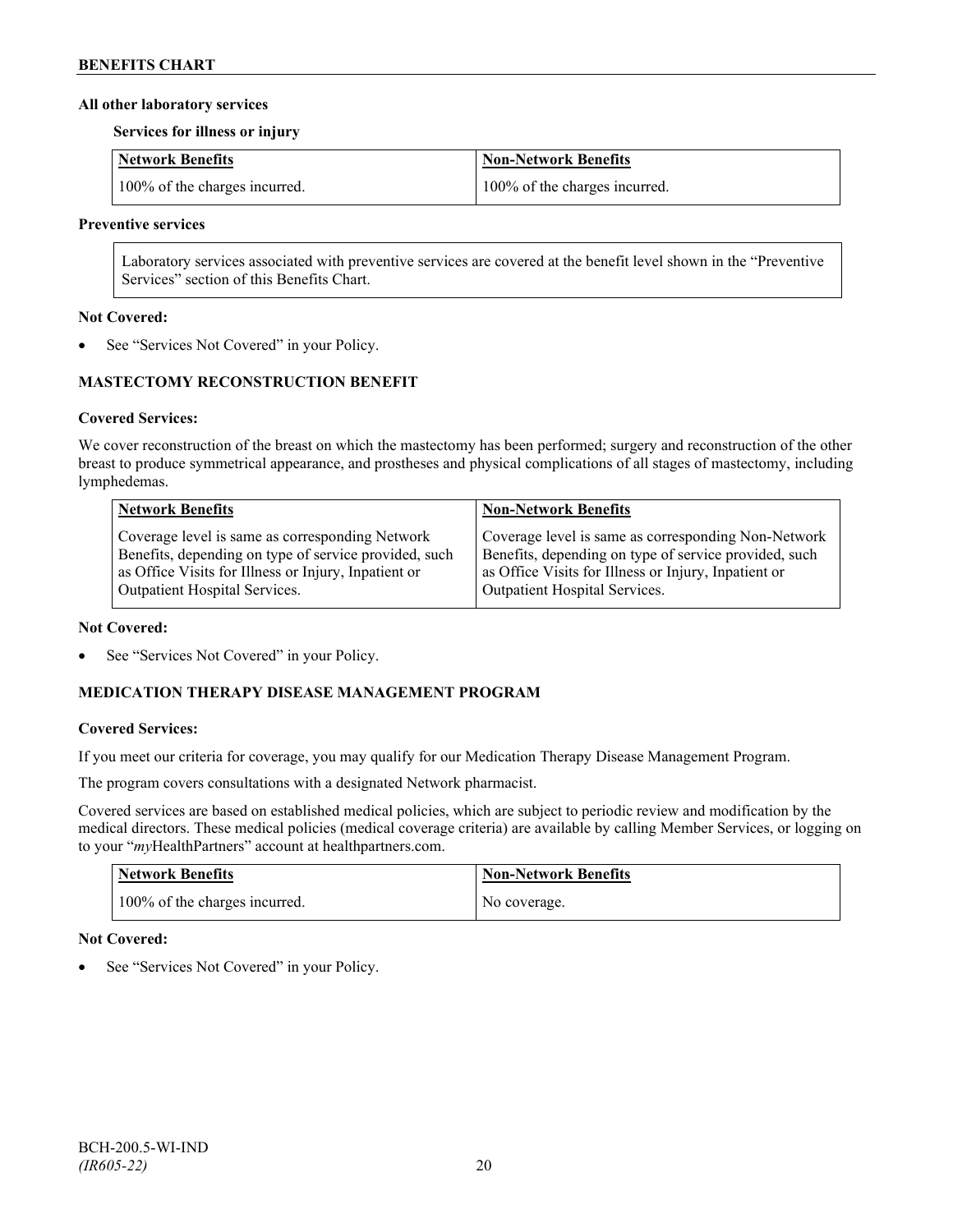### **All other laboratory services**

**Services for illness or injury**

| Network Benefits              | Non-Network Benefits          |
|-------------------------------|-------------------------------|
| 100% of the charges incurred. | 100% of the charges incurred. |

#### **Preventive services**

Laboratory services associated with preventive services are covered at the benefit level shown in the "Preventive Services" section of this Benefits Chart.

### **Not Covered:**

See "Services Not Covered" in your Policy.

# **MASTECTOMY RECONSTRUCTION BENEFIT**

# **Covered Services:**

We cover reconstruction of the breast on which the mastectomy has been performed; surgery and reconstruction of the other breast to produce symmetrical appearance, and prostheses and physical complications of all stages of mastectomy, including lymphedemas.

| <b>Network Benefits</b>                               | <b>Non-Network Benefits</b>                           |
|-------------------------------------------------------|-------------------------------------------------------|
| Coverage level is same as corresponding Network       | Coverage level is same as corresponding Non-Network   |
| Benefits, depending on type of service provided, such | Benefits, depending on type of service provided, such |
| as Office Visits for Illness or Injury, Inpatient or  | as Office Visits for Illness or Injury, Inpatient or  |
| Outpatient Hospital Services.                         | Outpatient Hospital Services.                         |

#### **Not Covered:**

See "Services Not Covered" in your Policy.

# **MEDICATION THERAPY DISEASE MANAGEMENT PROGRAM**

# **Covered Services:**

If you meet our criteria for coverage, you may qualify for our Medication Therapy Disease Management Program.

The program covers consultations with a designated Network pharmacist.

Covered services are based on established medical policies, which are subject to periodic review and modification by the medical directors. These medical policies (medical coverage criteria) are available by calling Member Services, or logging on to your "*my*HealthPartners" account at [healthpartners.com.](http://www.healthpartners.com/)

| <b>Network Benefits</b>       | <b>Non-Network Benefits</b> |
|-------------------------------|-----------------------------|
| 100% of the charges incurred. | No coverage.                |

# **Not Covered:**

See "Services Not Covered" in your Policy.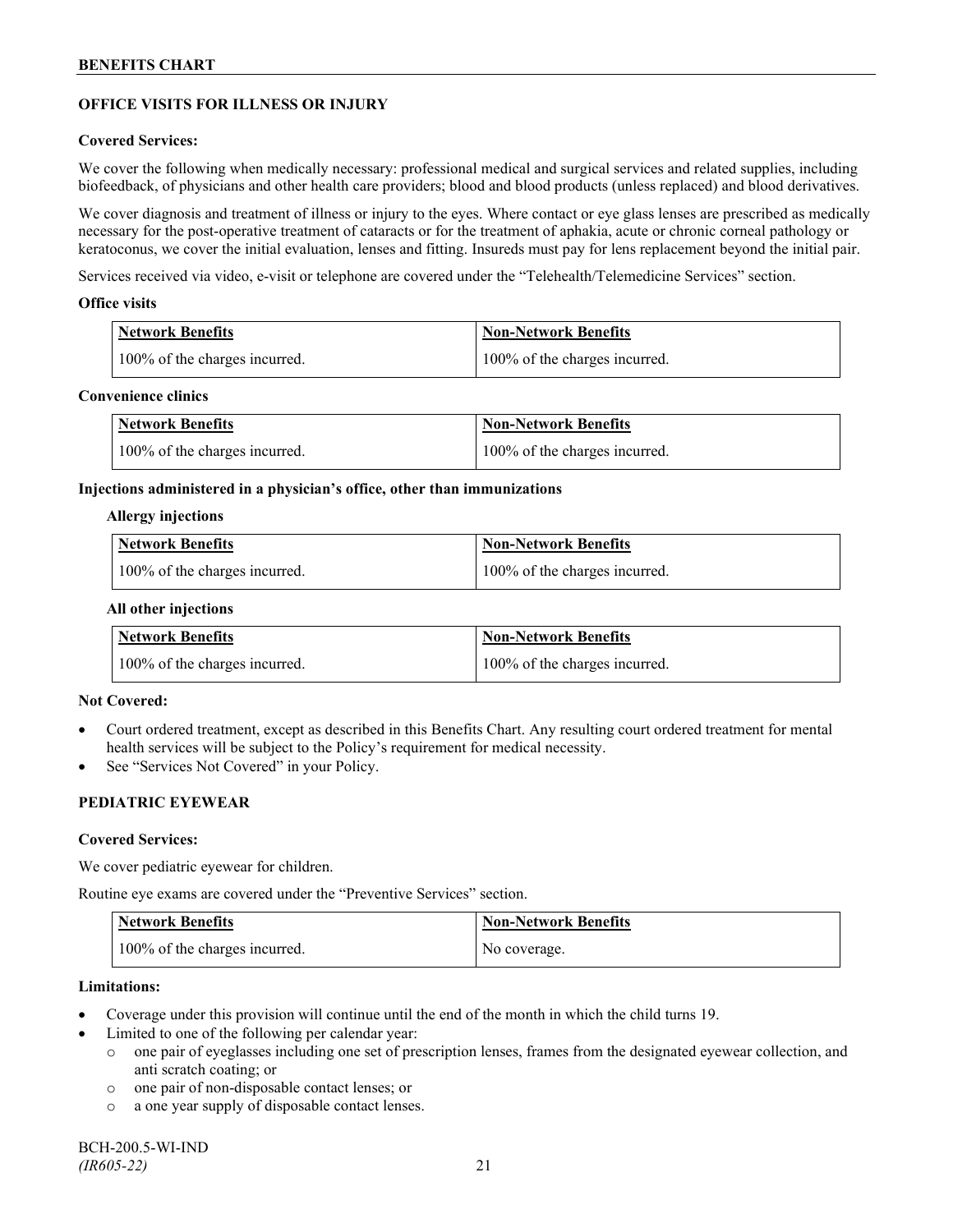# **OFFICE VISITS FOR ILLNESS OR INJURY**

### **Covered Services:**

We cover the following when medically necessary: professional medical and surgical services and related supplies, including biofeedback, of physicians and other health care providers; blood and blood products (unless replaced) and blood derivatives.

We cover diagnosis and treatment of illness or injury to the eyes. Where contact or eye glass lenses are prescribed as medically necessary for the post-operative treatment of cataracts or for the treatment of aphakia, acute or chronic corneal pathology or keratoconus, we cover the initial evaluation, lenses and fitting. Insureds must pay for lens replacement beyond the initial pair.

Services received via video, e-visit or telephone are covered under the "Telehealth/Telemedicine Services" section.

#### **Office visits**

| Network Benefits              | <b>Non-Network Benefits</b>   |
|-------------------------------|-------------------------------|
| 100% of the charges incurred. | 100% of the charges incurred. |

### **Convenience clinics**

| <b>Network Benefits</b>       | <b>Non-Network Benefits</b>   |
|-------------------------------|-------------------------------|
| 100% of the charges incurred. | 100% of the charges incurred. |

#### **Injections administered in a physician's office, other than immunizations**

#### **Allergy injections**

| <b>Network Benefits</b>       | Non-Network Benefits          |
|-------------------------------|-------------------------------|
| 100% of the charges incurred. | 100% of the charges incurred. |

#### **All other injections**

| <b>Network Benefits</b>       | <b>Non-Network Benefits</b>   |
|-------------------------------|-------------------------------|
| 100% of the charges incurred. | 100% of the charges incurred. |

# **Not Covered:**

- Court ordered treatment, except as described in this Benefits Chart. Any resulting court ordered treatment for mental health services will be subject to the Policy's requirement for medical necessity.
- See "Services Not Covered" in your Policy.

# **PEDIATRIC EYEWEAR**

#### **Covered Services:**

We cover pediatric eyewear for children.

Routine eye exams are covered under the "Preventive Services" section.

| <b>Network Benefits</b>       | <b>Non-Network Benefits</b> |
|-------------------------------|-----------------------------|
| 100% of the charges incurred. | No coverage.                |

#### **Limitations:**

- Coverage under this provision will continue until the end of the month in which the child turns 19.
- Limited to one of the following per calendar year:
	- o one pair of eyeglasses including one set of prescription lenses, frames from the designated eyewear collection, and anti scratch coating; or
	- o one pair of non-disposable contact lenses; or
	- o a one year supply of disposable contact lenses.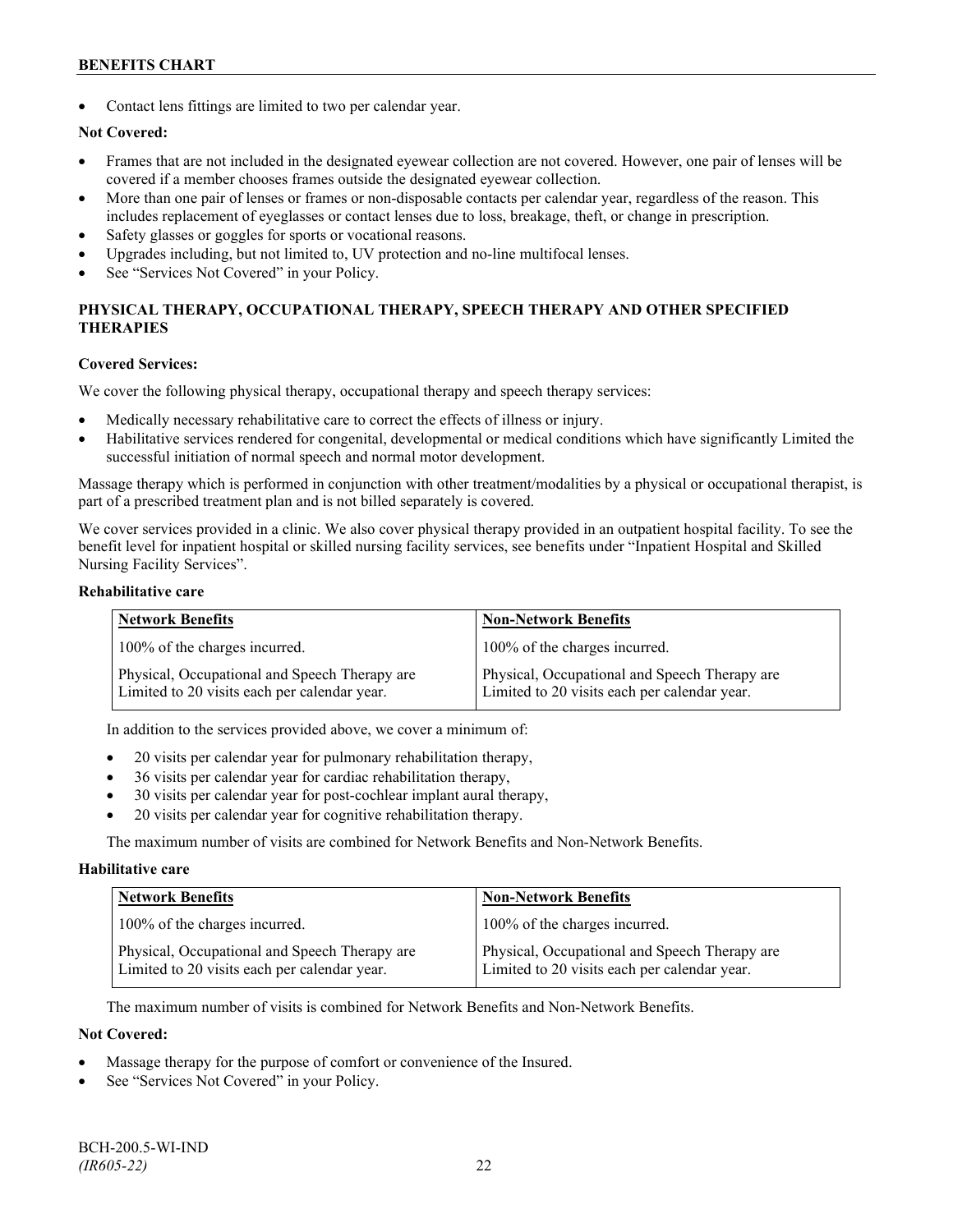Contact lens fittings are limited to two per calendar year.

# **Not Covered:**

- Frames that are not included in the designated eyewear collection are not covered. However, one pair of lenses will be covered if a member chooses frames outside the designated eyewear collection.
- More than one pair of lenses or frames or non-disposable contacts per calendar year, regardless of the reason. This includes replacement of eyeglasses or contact lenses due to loss, breakage, theft, or change in prescription.
- Safety glasses or goggles for sports or vocational reasons.
- Upgrades including, but not limited to, UV protection and no-line multifocal lenses.
- See "Services Not Covered" in your Policy.

# **PHYSICAL THERAPY, OCCUPATIONAL THERAPY, SPEECH THERAPY AND OTHER SPECIFIED THERAPIES**

#### **Covered Services:**

We cover the following physical therapy, occupational therapy and speech therapy services:

- Medically necessary rehabilitative care to correct the effects of illness or injury.
- Habilitative services rendered for congenital, developmental or medical conditions which have significantly Limited the successful initiation of normal speech and normal motor development.

Massage therapy which is performed in conjunction with other treatment/modalities by a physical or occupational therapist, is part of a prescribed treatment plan and is not billed separately is covered.

We cover services provided in a clinic. We also cover physical therapy provided in an outpatient hospital facility. To see the benefit level for inpatient hospital or skilled nursing facility services, see benefits under "Inpatient Hospital and Skilled Nursing Facility Services".

#### **Rehabilitative care**

| <b>Network Benefits</b>                                                                       | <b>Non-Network Benefits</b>                                                                   |
|-----------------------------------------------------------------------------------------------|-----------------------------------------------------------------------------------------------|
| 100% of the charges incurred.                                                                 | 100% of the charges incurred.                                                                 |
| Physical, Occupational and Speech Therapy are<br>Limited to 20 visits each per calendar year. | Physical, Occupational and Speech Therapy are<br>Limited to 20 visits each per calendar year. |

In addition to the services provided above, we cover a minimum of:

- 20 visits per calendar year for pulmonary rehabilitation therapy,
- 36 visits per calendar year for cardiac rehabilitation therapy,
- 30 visits per calendar year for post-cochlear implant aural therapy,
- 20 visits per calendar year for cognitive rehabilitation therapy.

The maximum number of visits are combined for Network Benefits and Non-Network Benefits.

#### **Habilitative care**

| <b>Network Benefits</b>                                                                       | <b>Non-Network Benefits</b>                                                                   |
|-----------------------------------------------------------------------------------------------|-----------------------------------------------------------------------------------------------|
| 100% of the charges incurred.                                                                 | 100% of the charges incurred.                                                                 |
| Physical, Occupational and Speech Therapy are<br>Limited to 20 visits each per calendar year. | Physical, Occupational and Speech Therapy are<br>Limited to 20 visits each per calendar year. |

The maximum number of visits is combined for Network Benefits and Non-Network Benefits.

#### **Not Covered:**

- Massage therapy for the purpose of comfort or convenience of the Insured.
- See "Services Not Covered" in your Policy.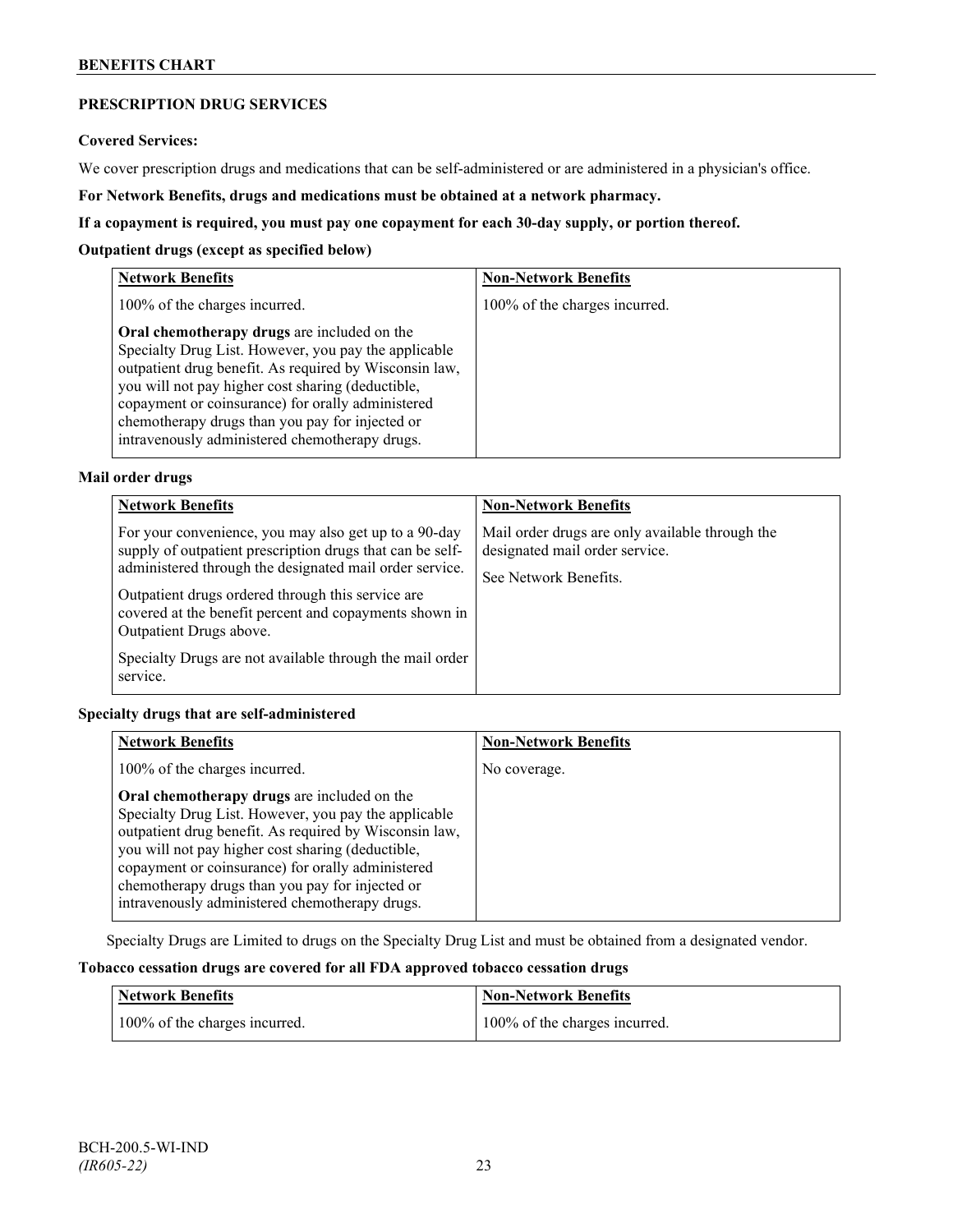# **PRESCRIPTION DRUG SERVICES**

#### **Covered Services:**

We cover prescription drugs and medications that can be self-administered or are administered in a physician's office.

**For Network Benefits, drugs and medications must be obtained at a network pharmacy.**

### **If a copayment is required, you must pay one copayment for each 30-day supply, or portion thereof.**

### **Outpatient drugs (except as specified below)**

| <b>Network Benefits</b>                                                                                                                                                                                                                                                                                                                                                      | <b>Non-Network Benefits</b>   |
|------------------------------------------------------------------------------------------------------------------------------------------------------------------------------------------------------------------------------------------------------------------------------------------------------------------------------------------------------------------------------|-------------------------------|
| 100% of the charges incurred.                                                                                                                                                                                                                                                                                                                                                | 100% of the charges incurred. |
| Oral chemotherapy drugs are included on the<br>Specialty Drug List. However, you pay the applicable<br>outpatient drug benefit. As required by Wisconsin law,<br>you will not pay higher cost sharing (deductible,<br>copayment or coinsurance) for orally administered<br>chemotherapy drugs than you pay for injected or<br>intravenously administered chemotherapy drugs. |                               |

# **Mail order drugs**

| <b>Network Benefits</b>                                                                                                                                                                                                                                                                                                                                                                         | <b>Non-Network Benefits</b>                                                                                |
|-------------------------------------------------------------------------------------------------------------------------------------------------------------------------------------------------------------------------------------------------------------------------------------------------------------------------------------------------------------------------------------------------|------------------------------------------------------------------------------------------------------------|
| For your convenience, you may also get up to a 90-day<br>supply of outpatient prescription drugs that can be self-<br>administered through the designated mail order service.<br>Outpatient drugs ordered through this service are<br>covered at the benefit percent and copayments shown in<br>Outpatient Drugs above.<br>Specialty Drugs are not available through the mail order<br>service. | Mail order drugs are only available through the<br>designated mail order service.<br>See Network Benefits. |

# **Specialty drugs that are self-administered**

| <b>Network Benefits</b>                                                                                                                                                                                                                                                                                                                                                      | <b>Non-Network Benefits</b> |
|------------------------------------------------------------------------------------------------------------------------------------------------------------------------------------------------------------------------------------------------------------------------------------------------------------------------------------------------------------------------------|-----------------------------|
| 100% of the charges incurred.                                                                                                                                                                                                                                                                                                                                                | No coverage.                |
| Oral chemotherapy drugs are included on the<br>Specialty Drug List. However, you pay the applicable<br>outpatient drug benefit. As required by Wisconsin law,<br>you will not pay higher cost sharing (deductible,<br>copayment or coinsurance) for orally administered<br>chemotherapy drugs than you pay for injected or<br>intravenously administered chemotherapy drugs. |                             |

Specialty Drugs are Limited to drugs on the Specialty Drug List and must be obtained from a designated vendor.

# **Tobacco cessation drugs are covered for all FDA approved tobacco cessation drugs**

| <b>Network Benefits</b>       | <b>Non-Network Benefits</b>   |
|-------------------------------|-------------------------------|
| 100% of the charges incurred. | 100% of the charges incurred. |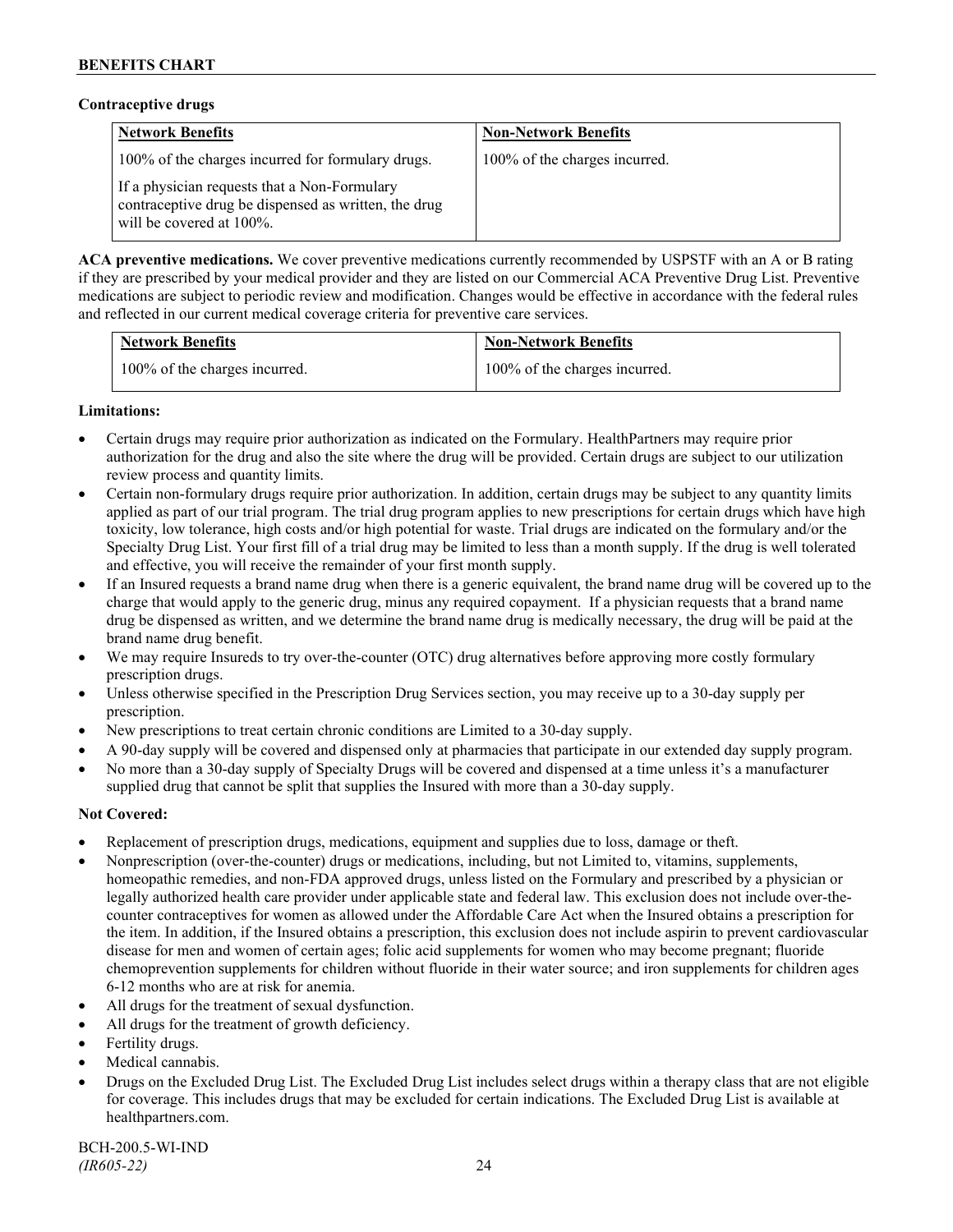### **Contraceptive drugs**

| <b>Network Benefits</b>                                                                                                              | <b>Non-Network Benefits</b>   |
|--------------------------------------------------------------------------------------------------------------------------------------|-------------------------------|
| 100% of the charges incurred for formulary drugs.                                                                                    | 100% of the charges incurred. |
| If a physician requests that a Non-Formulary<br>contraceptive drug be dispensed as written, the drug<br>will be covered at $100\%$ . |                               |

**ACA preventive medications.** We cover preventive medications currently recommended by USPSTF with an A or B rating if they are prescribed by your medical provider and they are listed on our Commercial ACA Preventive Drug List. Preventive medications are subject to periodic review and modification. Changes would be effective in accordance with the federal rules and reflected in our current medical coverage criteria for preventive care services.

| <b>Network Benefits</b>       | <b>Non-Network Benefits</b>   |
|-------------------------------|-------------------------------|
| 100% of the charges incurred. | 100% of the charges incurred. |

# **Limitations:**

- Certain drugs may require prior authorization as indicated on the Formulary. HealthPartners may require prior authorization for the drug and also the site where the drug will be provided. Certain drugs are subject to our utilization review process and quantity limits.
- Certain non-formulary drugs require prior authorization. In addition, certain drugs may be subject to any quantity limits applied as part of our trial program. The trial drug program applies to new prescriptions for certain drugs which have high toxicity, low tolerance, high costs and/or high potential for waste. Trial drugs are indicated on the formulary and/or the Specialty Drug List. Your first fill of a trial drug may be limited to less than a month supply. If the drug is well tolerated and effective, you will receive the remainder of your first month supply.
- If an Insured requests a brand name drug when there is a generic equivalent, the brand name drug will be covered up to the charge that would apply to the generic drug, minus any required copayment. If a physician requests that a brand name drug be dispensed as written, and we determine the brand name drug is medically necessary, the drug will be paid at the brand name drug benefit.
- We may require Insureds to try over-the-counter (OTC) drug alternatives before approving more costly formulary prescription drugs.
- Unless otherwise specified in the Prescription Drug Services section, you may receive up to a 30-day supply per prescription.
- New prescriptions to treat certain chronic conditions are Limited to a 30-day supply.
- A 90-day supply will be covered and dispensed only at pharmacies that participate in our extended day supply program.
- No more than a 30-day supply of Specialty Drugs will be covered and dispensed at a time unless it's a manufacturer supplied drug that cannot be split that supplies the Insured with more than a 30-day supply.

# **Not Covered:**

- Replacement of prescription drugs, medications, equipment and supplies due to loss, damage or theft.
- Nonprescription (over-the-counter) drugs or medications, including, but not Limited to, vitamins, supplements, homeopathic remedies, and non-FDA approved drugs, unless listed on the Formulary and prescribed by a physician or legally authorized health care provider under applicable state and federal law. This exclusion does not include over-thecounter contraceptives for women as allowed under the Affordable Care Act when the Insured obtains a prescription for the item. In addition, if the Insured obtains a prescription, this exclusion does not include aspirin to prevent cardiovascular disease for men and women of certain ages; folic acid supplements for women who may become pregnant; fluoride chemoprevention supplements for children without fluoride in their water source; and iron supplements for children ages 6-12 months who are at risk for anemia.
- All drugs for the treatment of sexual dysfunction.
- All drugs for the treatment of growth deficiency.
- Fertility drugs.
- Medical cannabis.
- Drugs on the Excluded Drug List. The Excluded Drug List includes select drugs within a therapy class that are not eligible for coverage. This includes drugs that may be excluded for certain indications. The Excluded Drug List is available at [healthpartners.com.](http://www.healthpartners.com/)

BCH-200.5-WI-IND *(IR605-22)* 24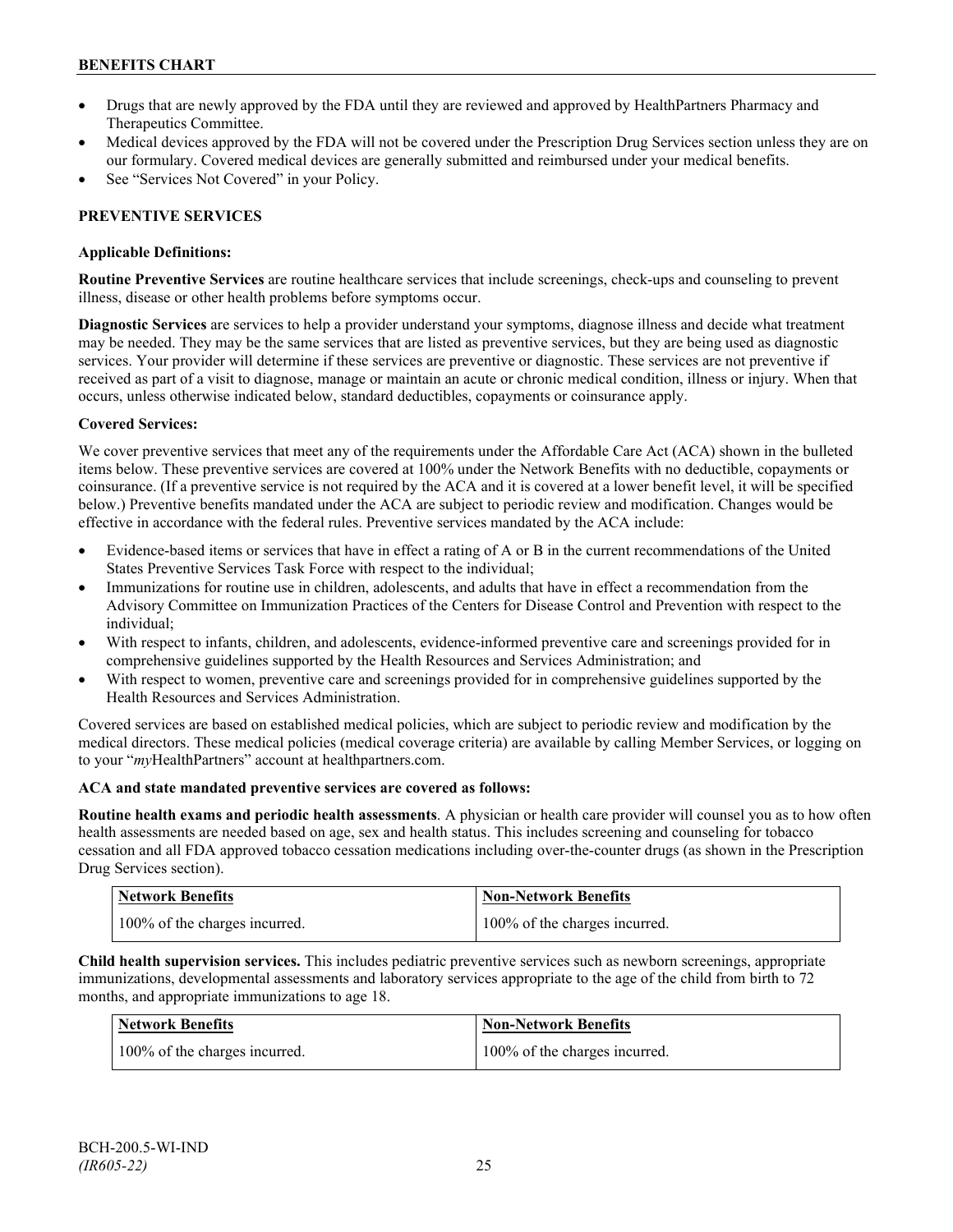- Drugs that are newly approved by the FDA until they are reviewed and approved by HealthPartners Pharmacy and Therapeutics Committee.
- Medical devices approved by the FDA will not be covered under the Prescription Drug Services section unless they are on our formulary. Covered medical devices are generally submitted and reimbursed under your medical benefits.
- See "Services Not Covered" in your Policy.

# **PREVENTIVE SERVICES**

# **Applicable Definitions:**

**Routine Preventive Services** are routine healthcare services that include screenings, check-ups and counseling to prevent illness, disease or other health problems before symptoms occur.

**Diagnostic Services** are services to help a provider understand your symptoms, diagnose illness and decide what treatment may be needed. They may be the same services that are listed as preventive services, but they are being used as diagnostic services. Your provider will determine if these services are preventive or diagnostic. These services are not preventive if received as part of a visit to diagnose, manage or maintain an acute or chronic medical condition, illness or injury. When that occurs, unless otherwise indicated below, standard deductibles, copayments or coinsurance apply.

# **Covered Services:**

We cover preventive services that meet any of the requirements under the Affordable Care Act (ACA) shown in the bulleted items below. These preventive services are covered at 100% under the Network Benefits with no deductible, copayments or coinsurance. (If a preventive service is not required by the ACA and it is covered at a lower benefit level, it will be specified below.) Preventive benefits mandated under the ACA are subject to periodic review and modification. Changes would be effective in accordance with the federal rules. Preventive services mandated by the ACA include:

- Evidence-based items or services that have in effect a rating of A or B in the current recommendations of the United States Preventive Services Task Force with respect to the individual;
- Immunizations for routine use in children, adolescents, and adults that have in effect a recommendation from the Advisory Committee on Immunization Practices of the Centers for Disease Control and Prevention with respect to the individual;
- With respect to infants, children, and adolescents, evidence-informed preventive care and screenings provided for in comprehensive guidelines supported by the Health Resources and Services Administration; and
- With respect to women, preventive care and screenings provided for in comprehensive guidelines supported by the Health Resources and Services Administration.

Covered services are based on established medical policies, which are subject to periodic review and modification by the medical directors. These medical policies (medical coverage criteria) are available by calling Member Services, or logging on to your "*my*HealthPartners" account at [healthpartners.com.](http://www.healthpartners.com/)

# **ACA and state mandated preventive services are covered as follows:**

**Routine health exams and periodic health assessments**. A physician or health care provider will counsel you as to how often health assessments are needed based on age, sex and health status. This includes screening and counseling for tobacco cessation and all FDA approved tobacco cessation medications including over-the-counter drugs (as shown in the Prescription Drug Services section).

| <b>Network Benefits</b>       | <b>Non-Network Benefits</b>   |
|-------------------------------|-------------------------------|
| 100% of the charges incurred. | 100% of the charges incurred. |

**Child health supervision services.** This includes pediatric preventive services such as newborn screenings, appropriate immunizations, developmental assessments and laboratory services appropriate to the age of the child from birth to 72 months, and appropriate immunizations to age 18.

| <b>Network Benefits</b>       | <b>Non-Network Benefits</b>   |
|-------------------------------|-------------------------------|
| 100% of the charges incurred. | 100% of the charges incurred. |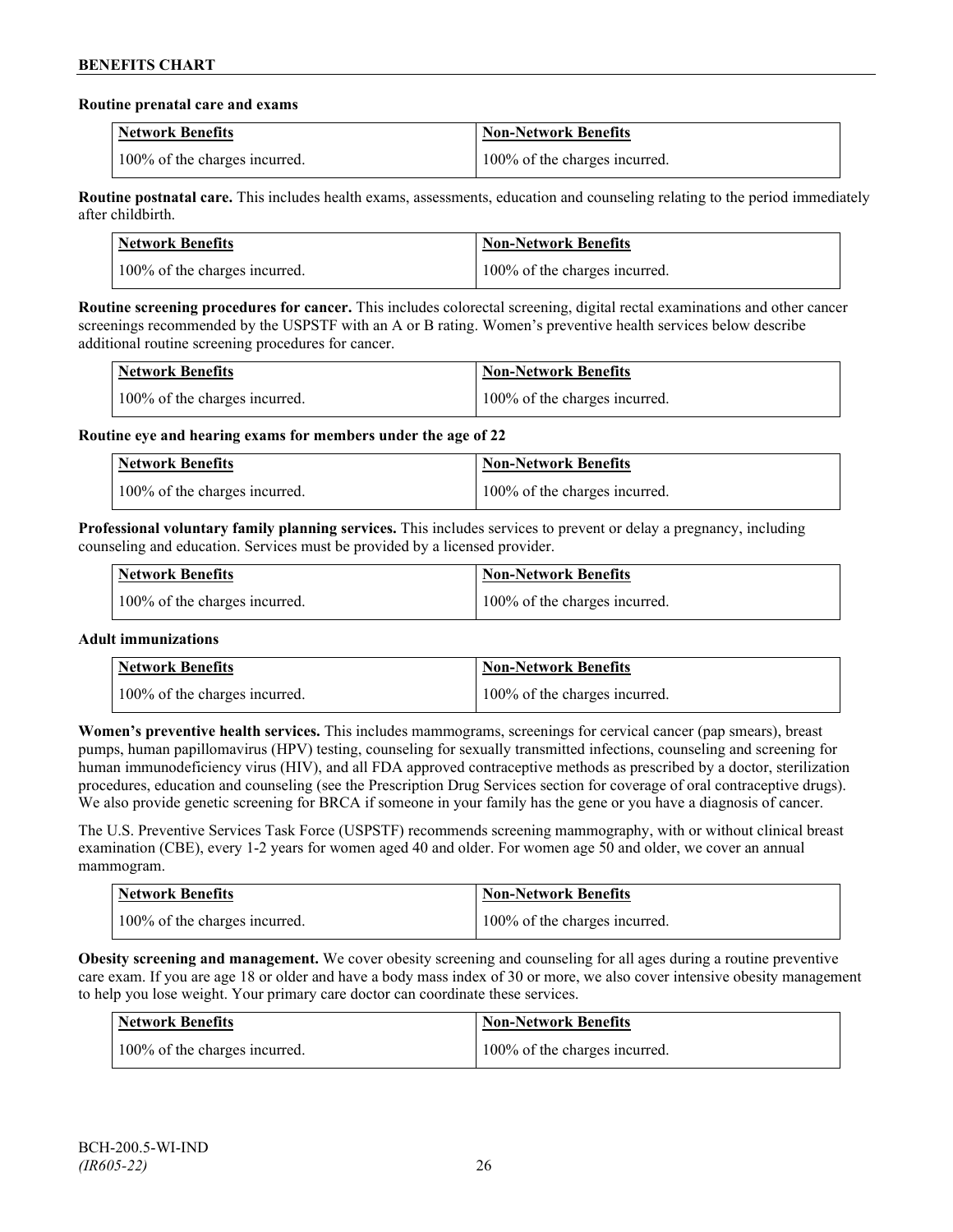#### **Routine prenatal care and exams**

| <b>Network Benefits</b>       | <b>Non-Network Benefits</b>   |
|-------------------------------|-------------------------------|
| 100% of the charges incurred. | 100% of the charges incurred. |

**Routine postnatal care.** This includes health exams, assessments, education and counseling relating to the period immediately after childbirth.

| <b>Network Benefits</b>       | <b>Non-Network Benefits</b>   |
|-------------------------------|-------------------------------|
| 100% of the charges incurred. | 100% of the charges incurred. |

**Routine screening procedures for cancer.** This includes colorectal screening, digital rectal examinations and other cancer screenings recommended by the USPSTF with an A or B rating. Women's preventive health services below describe additional routine screening procedures for cancer.

| Network Benefits              | <b>Non-Network Benefits</b>   |
|-------------------------------|-------------------------------|
| 100% of the charges incurred. | 100% of the charges incurred. |

**Routine eye and hearing exams for members under the age of 22**

| <b>Network Benefits</b>       | <b>Non-Network Benefits</b>   |
|-------------------------------|-------------------------------|
| 100% of the charges incurred. | 100% of the charges incurred. |

**Professional voluntary family planning services.** This includes services to prevent or delay a pregnancy, including counseling and education. Services must be provided by a licensed provider.

| Network Benefits              | <b>Non-Network Benefits</b>   |
|-------------------------------|-------------------------------|
| 100% of the charges incurred. | 100% of the charges incurred. |

# **Adult immunizations**

| <b>Network Benefits</b>       | <b>Non-Network Benefits</b>   |
|-------------------------------|-------------------------------|
| 100% of the charges incurred. | 100% of the charges incurred. |

**Women's preventive health services.** This includes mammograms, screenings for cervical cancer (pap smears), breast pumps, human papillomavirus (HPV) testing, counseling for sexually transmitted infections, counseling and screening for human immunodeficiency virus (HIV), and all FDA approved contraceptive methods as prescribed by a doctor, sterilization procedures, education and counseling (see the Prescription Drug Services section for coverage of oral contraceptive drugs). We also provide genetic screening for BRCA if someone in your family has the gene or you have a diagnosis of cancer.

The U.S. Preventive Services Task Force (USPSTF) recommends screening mammography, with or without clinical breast examination (CBE), every 1-2 years for women aged 40 and older. For women age 50 and older, we cover an annual mammogram.

| <b>Network Benefits</b>       | <b>Non-Network Benefits</b>   |
|-------------------------------|-------------------------------|
| 100% of the charges incurred. | 100% of the charges incurred. |

**Obesity screening and management.** We cover obesity screening and counseling for all ages during a routine preventive care exam. If you are age 18 or older and have a body mass index of 30 or more, we also cover intensive obesity management to help you lose weight. Your primary care doctor can coordinate these services.

| Network Benefits              | Non-Network Benefits          |
|-------------------------------|-------------------------------|
| 100% of the charges incurred. | 100% of the charges incurred. |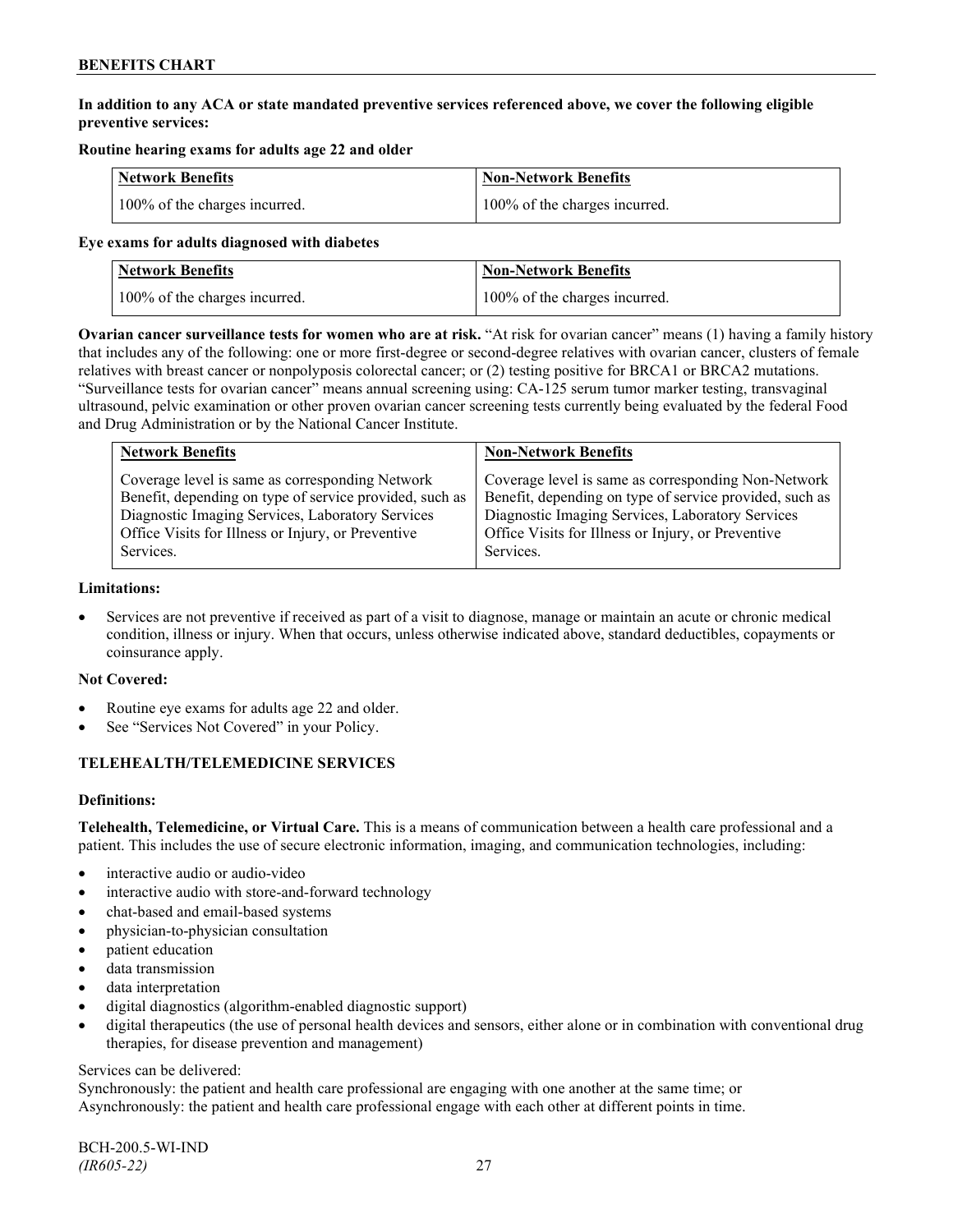# **In addition to any ACA or state mandated preventive services referenced above, we cover the following eligible preventive services:**

# **Routine hearing exams for adults age 22 and older**

| <b>Network Benefits</b>       | <b>Non-Network Benefits</b>   |
|-------------------------------|-------------------------------|
| 100% of the charges incurred. | 100% of the charges incurred. |

#### **Eye exams for adults diagnosed with diabetes**

| Network Benefits              | <b>Non-Network Benefits</b>   |
|-------------------------------|-------------------------------|
| 100% of the charges incurred. | 100% of the charges incurred. |

**Ovarian cancer surveillance tests for women who are at risk.** "At risk for ovarian cancer" means (1) having a family history that includes any of the following: one or more first-degree or second-degree relatives with ovarian cancer, clusters of female relatives with breast cancer or nonpolyposis colorectal cancer; or (2) testing positive for BRCA1 or BRCA2 mutations. "Surveillance tests for ovarian cancer" means annual screening using: CA-125 serum tumor marker testing, transvaginal ultrasound, pelvic examination or other proven ovarian cancer screening tests currently being evaluated by the federal Food and Drug Administration or by the National Cancer Institute.

| <b>Network Benefits</b>                                 | <b>Non-Network Benefits</b>                             |
|---------------------------------------------------------|---------------------------------------------------------|
| Coverage level is same as corresponding Network         | Coverage level is same as corresponding Non-Network     |
| Benefit, depending on type of service provided, such as | Benefit, depending on type of service provided, such as |
| Diagnostic Imaging Services, Laboratory Services        | Diagnostic Imaging Services, Laboratory Services        |
| Office Visits for Illness or Injury, or Preventive      | Office Visits for Illness or Injury, or Preventive      |
| Services.                                               | Services.                                               |

### **Limitations:**

• Services are not preventive if received as part of a visit to diagnose, manage or maintain an acute or chronic medical condition, illness or injury. When that occurs, unless otherwise indicated above, standard deductibles, copayments or coinsurance apply.

# **Not Covered:**

- Routine eye exams for adults age 22 and older.
- See "Services Not Covered" in your Policy.

# **TELEHEALTH/TELEMEDICINE SERVICES**

# **Definitions:**

**Telehealth, Telemedicine, or Virtual Care.** This is a means of communication between a health care professional and a patient. This includes the use of secure electronic information, imaging, and communication technologies, including:

- interactive audio or audio-video
- interactive audio with store-and-forward technology
- chat-based and email-based systems
- physician-to-physician consultation
- patient education
- data transmission
- data interpretation
- digital diagnostics (algorithm-enabled diagnostic support)
- digital therapeutics (the use of personal health devices and sensors, either alone or in combination with conventional drug therapies, for disease prevention and management)

#### Services can be delivered:

Synchronously: the patient and health care professional are engaging with one another at the same time; or Asynchronously: the patient and health care professional engage with each other at different points in time.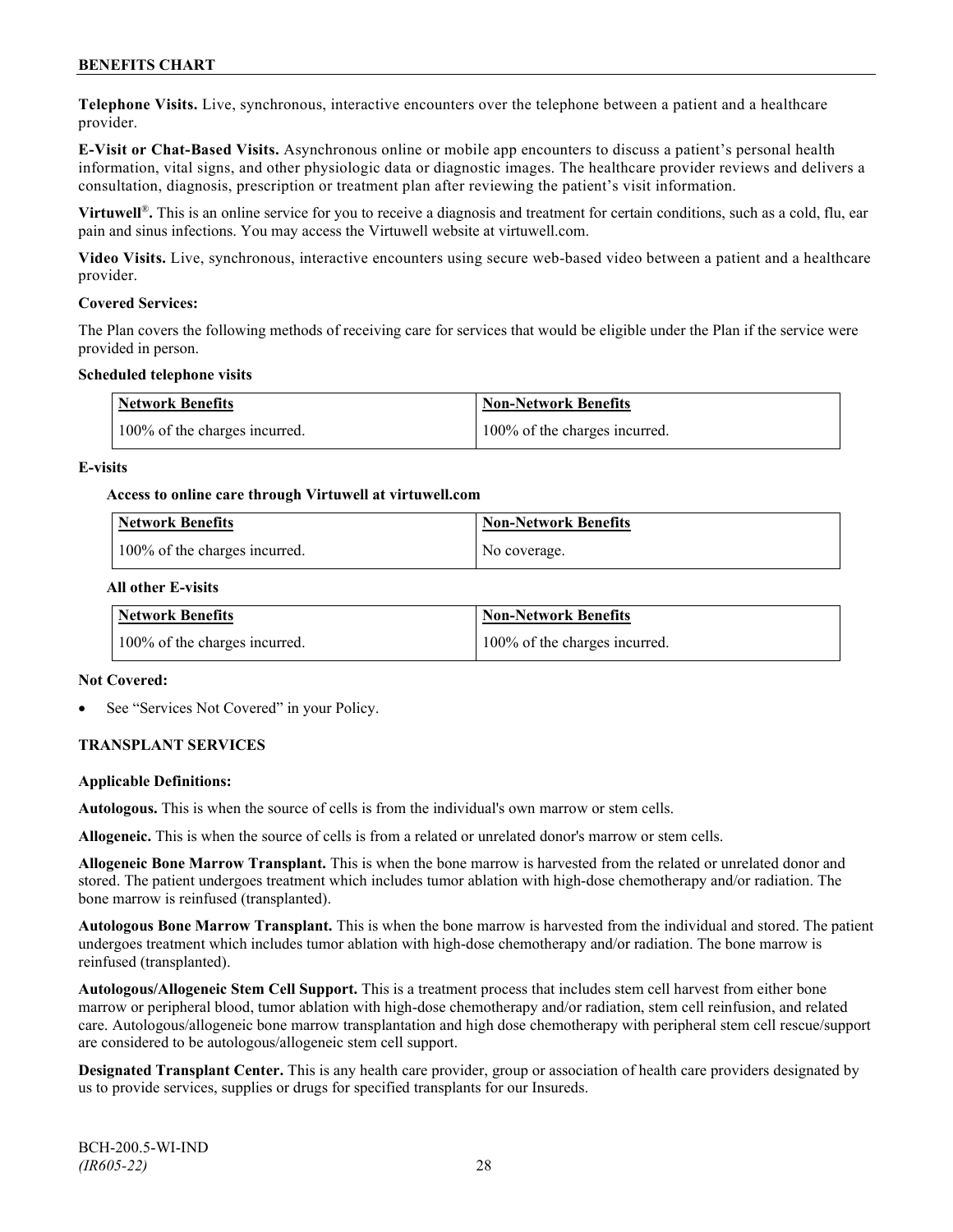**Telephone Visits.** Live, synchronous, interactive encounters over the telephone between a patient and a healthcare provider.

**E-Visit or Chat-Based Visits.** Asynchronous online or mobile app encounters to discuss a patient's personal health information, vital signs, and other physiologic data or diagnostic images. The healthcare provider reviews and delivers a consultation, diagnosis, prescription or treatment plan after reviewing the patient's visit information.

**Virtuwell<sup>®</sup>**. This is an online service for you to receive a diagnosis and treatment for certain conditions, such as a cold, flu, ear pain and sinus infections. You may access the Virtuwell website at [virtuwell.com.](https://www.virtuwell.com/)

**Video Visits.** Live, synchronous, interactive encounters using secure web-based video between a patient and a healthcare provider.

#### **Covered Services:**

The Plan covers the following methods of receiving care for services that would be eligible under the Plan if the service were provided in person.

#### **Scheduled telephone visits**

| <b>Network Benefits</b>       | <b>Non-Network Benefits</b>   |
|-------------------------------|-------------------------------|
| 100% of the charges incurred. | 100% of the charges incurred. |

#### **E-visits**

#### **Access to online care through Virtuwell at [virtuwell.com](http://www.virtuwell.com/)**

| Network Benefits              | <b>Non-Network Benefits</b> |
|-------------------------------|-----------------------------|
| 100% of the charges incurred. | No coverage.                |

#### **All other E-visits**

| <b>Network Benefits</b>       | <b>Non-Network Benefits</b>   |
|-------------------------------|-------------------------------|
| 100% of the charges incurred. | 100% of the charges incurred. |

#### **Not Covered:**

See "Services Not Covered" in your Policy.

# **TRANSPLANT SERVICES**

#### **Applicable Definitions:**

**Autologous.** This is when the source of cells is from the individual's own marrow or stem cells.

**Allogeneic.** This is when the source of cells is from a related or unrelated donor's marrow or stem cells.

**Allogeneic Bone Marrow Transplant.** This is when the bone marrow is harvested from the related or unrelated donor and stored. The patient undergoes treatment which includes tumor ablation with high-dose chemotherapy and/or radiation. The bone marrow is reinfused (transplanted).

**Autologous Bone Marrow Transplant.** This is when the bone marrow is harvested from the individual and stored. The patient undergoes treatment which includes tumor ablation with high-dose chemotherapy and/or radiation. The bone marrow is reinfused (transplanted).

**Autologous/Allogeneic Stem Cell Support.** This is a treatment process that includes stem cell harvest from either bone marrow or peripheral blood, tumor ablation with high-dose chemotherapy and/or radiation, stem cell reinfusion, and related care. Autologous/allogeneic bone marrow transplantation and high dose chemotherapy with peripheral stem cell rescue/support are considered to be autologous/allogeneic stem cell support.

**Designated Transplant Center.** This is any health care provider, group or association of health care providers designated by us to provide services, supplies or drugs for specified transplants for our Insureds.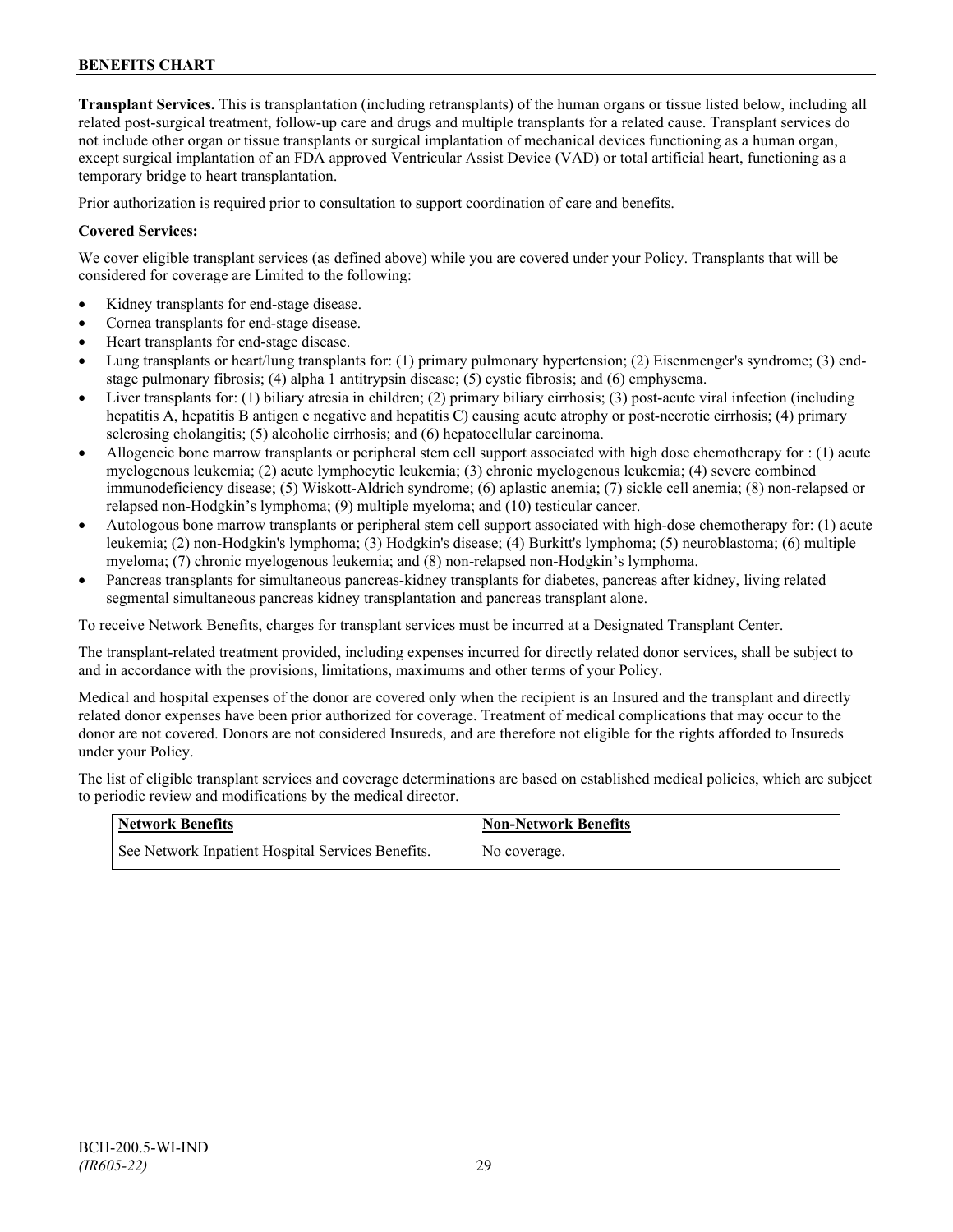**Transplant Services.** This is transplantation (including retransplants) of the human organs or tissue listed below, including all related post-surgical treatment, follow-up care and drugs and multiple transplants for a related cause. Transplant services do not include other organ or tissue transplants or surgical implantation of mechanical devices functioning as a human organ, except surgical implantation of an FDA approved Ventricular Assist Device (VAD) or total artificial heart, functioning as a temporary bridge to heart transplantation.

Prior authorization is required prior to consultation to support coordination of care and benefits.

### **Covered Services:**

We cover eligible transplant services (as defined above) while you are covered under your Policy. Transplants that will be considered for coverage are Limited to the following:

- Kidney transplants for end-stage disease.
- Cornea transplants for end-stage disease.
- Heart transplants for end-stage disease.
- Lung transplants or heart/lung transplants for: (1) primary pulmonary hypertension; (2) Eisenmenger's syndrome; (3) endstage pulmonary fibrosis; (4) alpha 1 antitrypsin disease; (5) cystic fibrosis; and (6) emphysema.
- Liver transplants for: (1) biliary atresia in children; (2) primary biliary cirrhosis; (3) post-acute viral infection (including hepatitis A, hepatitis B antigen e negative and hepatitis C) causing acute atrophy or post-necrotic cirrhosis; (4) primary sclerosing cholangitis; (5) alcoholic cirrhosis; and (6) hepatocellular carcinoma.
- Allogeneic bone marrow transplants or peripheral stem cell support associated with high dose chemotherapy for : (1) acute myelogenous leukemia; (2) acute lymphocytic leukemia; (3) chronic myelogenous leukemia; (4) severe combined immunodeficiency disease; (5) Wiskott-Aldrich syndrome; (6) aplastic anemia; (7) sickle cell anemia; (8) non-relapsed or relapsed non-Hodgkin's lymphoma; (9) multiple myeloma; and (10) testicular cancer.
- Autologous bone marrow transplants or peripheral stem cell support associated with high-dose chemotherapy for: (1) acute leukemia; (2) non-Hodgkin's lymphoma; (3) Hodgkin's disease; (4) Burkitt's lymphoma; (5) neuroblastoma; (6) multiple myeloma; (7) chronic myelogenous leukemia; and (8) non-relapsed non-Hodgkin's lymphoma.
- Pancreas transplants for simultaneous pancreas-kidney transplants for diabetes, pancreas after kidney, living related segmental simultaneous pancreas kidney transplantation and pancreas transplant alone.

To receive Network Benefits, charges for transplant services must be incurred at a Designated Transplant Center.

The transplant-related treatment provided, including expenses incurred for directly related donor services, shall be subject to and in accordance with the provisions, limitations, maximums and other terms of your Policy.

Medical and hospital expenses of the donor are covered only when the recipient is an Insured and the transplant and directly related donor expenses have been prior authorized for coverage. Treatment of medical complications that may occur to the donor are not covered. Donors are not considered Insureds, and are therefore not eligible for the rights afforded to Insureds under your Policy.

The list of eligible transplant services and coverage determinations are based on established medical policies, which are subject to periodic review and modifications by the medical director.

| <b>Network Benefits</b>                           | <b>Non-Network Benefits</b> |
|---------------------------------------------------|-----------------------------|
| See Network Inpatient Hospital Services Benefits. | No coverage.                |